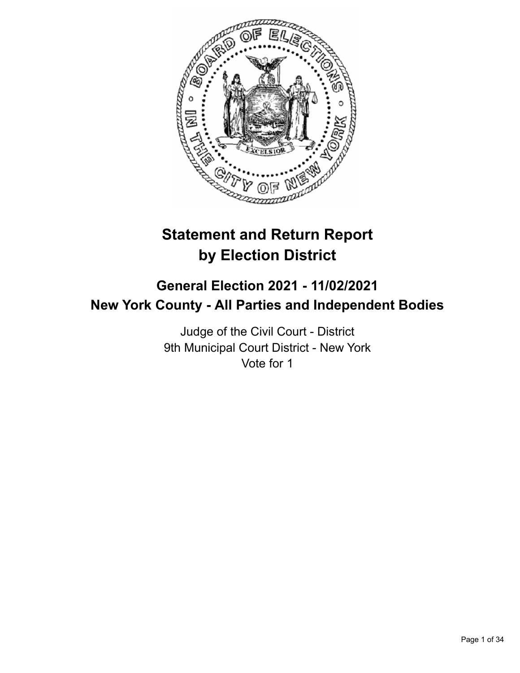

# **Statement and Return Report by Election District**

# **General Election 2021 - 11/02/2021 New York County - All Parties and Independent Bodies**

Judge of the Civil Court - District 9th Municipal Court District - New York Vote for 1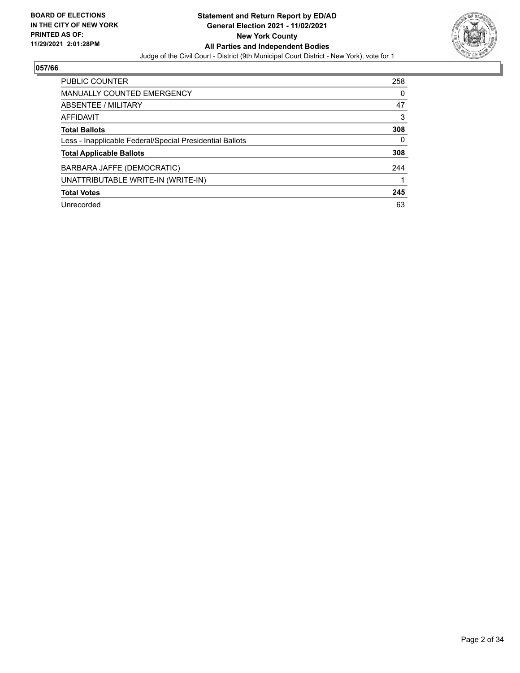

| <b>PUBLIC COUNTER</b>                                    | 258 |
|----------------------------------------------------------|-----|
| MANUALLY COUNTED EMERGENCY                               | 0   |
| ABSENTEE / MILITARY                                      | 47  |
| AFFIDAVIT                                                | 3   |
| <b>Total Ballots</b>                                     | 308 |
| Less - Inapplicable Federal/Special Presidential Ballots | 0   |
| <b>Total Applicable Ballots</b>                          | 308 |
| BARBARA JAFFE (DEMOCRATIC)                               | 244 |
| UNATTRIBUTABLE WRITE-IN (WRITE-IN)                       |     |
| <b>Total Votes</b>                                       | 245 |
| Unrecorded                                               | 63  |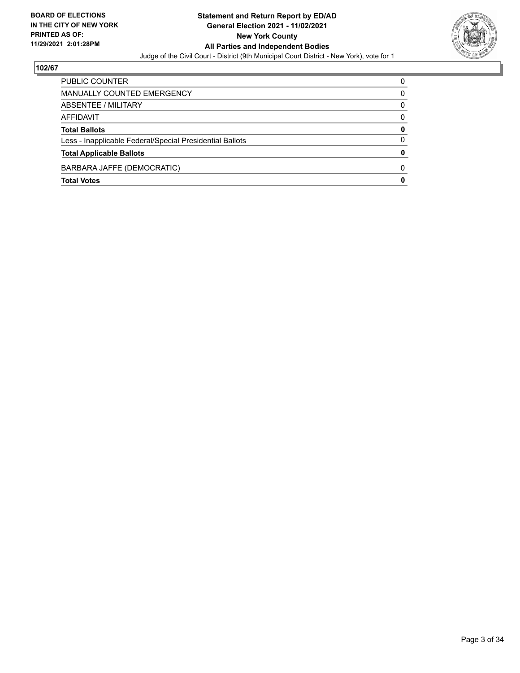

| <b>Total Votes</b>                                       | 0        |
|----------------------------------------------------------|----------|
| BARBARA JAFFE (DEMOCRATIC)                               | 0        |
| <b>Total Applicable Ballots</b>                          | 0        |
| Less - Inapplicable Federal/Special Presidential Ballots | $\Omega$ |
| <b>Total Ballots</b>                                     | 0        |
| AFFIDAVIT                                                | $\Omega$ |
| ABSENTEE / MILITARY                                      | $\Omega$ |
| MANUALLY COUNTED EMERGENCY                               | 0        |
| PUBLIC COUNTER                                           | 0        |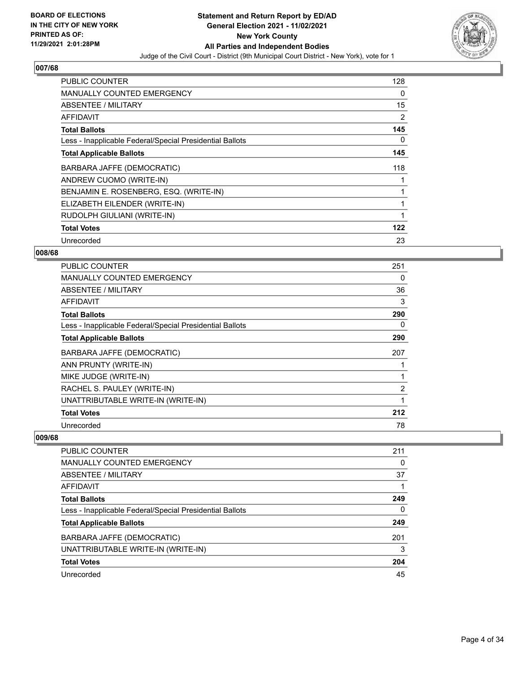

| <b>PUBLIC COUNTER</b>                                    | 128 |
|----------------------------------------------------------|-----|
| <b>MANUALLY COUNTED EMERGENCY</b>                        | 0   |
| ABSENTEE / MILITARY                                      | 15  |
| AFFIDAVIT                                                | 2   |
| <b>Total Ballots</b>                                     | 145 |
| Less - Inapplicable Federal/Special Presidential Ballots | 0   |
| <b>Total Applicable Ballots</b>                          | 145 |
| BARBARA JAFFE (DEMOCRATIC)                               | 118 |
| ANDREW CUOMO (WRITE-IN)                                  | 1   |
| BENJAMIN E. ROSENBERG, ESQ. (WRITE-IN)                   | 1   |
| ELIZABETH EILENDER (WRITE-IN)                            | 1   |
| RUDOLPH GIULIANI (WRITE-IN)                              |     |
| <b>Total Votes</b>                                       | 122 |
| Unrecorded                                               | 23  |

## **008/68**

| <b>PUBLIC COUNTER</b>                                    | 251            |
|----------------------------------------------------------|----------------|
| MANUALLY COUNTED EMERGENCY                               | 0              |
| ABSENTEE / MILITARY                                      | 36             |
| <b>AFFIDAVIT</b>                                         | 3              |
| <b>Total Ballots</b>                                     | 290            |
| Less - Inapplicable Federal/Special Presidential Ballots | 0              |
| <b>Total Applicable Ballots</b>                          | 290            |
| BARBARA JAFFE (DEMOCRATIC)                               | 207            |
| ANN PRUNTY (WRITE-IN)                                    |                |
| MIKE JUDGE (WRITE-IN)                                    |                |
| RACHEL S. PAULEY (WRITE-IN)                              | $\overline{2}$ |
| UNATTRIBUTABLE WRITE-IN (WRITE-IN)                       |                |
| <b>Total Votes</b>                                       | 212            |
| Unrecorded                                               | 78             |

| PUBLIC COUNTER                                           | 211 |
|----------------------------------------------------------|-----|
| <b>MANUALLY COUNTED EMERGENCY</b>                        | 0   |
| ABSENTEE / MILITARY                                      | 37  |
| AFFIDAVIT                                                |     |
| <b>Total Ballots</b>                                     | 249 |
| Less - Inapplicable Federal/Special Presidential Ballots | 0   |
| <b>Total Applicable Ballots</b>                          | 249 |
| BARBARA JAFFE (DEMOCRATIC)                               | 201 |
| UNATTRIBUTABLE WRITE-IN (WRITE-IN)                       | 3   |
| <b>Total Votes</b>                                       | 204 |
| Unrecorded                                               | 45  |
|                                                          |     |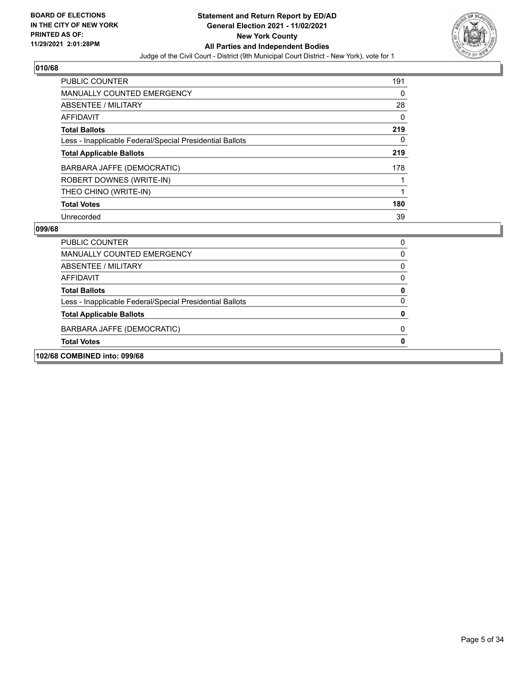

| <b>PUBLIC COUNTER</b>                                    | 191 |
|----------------------------------------------------------|-----|
| <b>MANUALLY COUNTED EMERGENCY</b>                        | 0   |
| ABSENTEE / MILITARY                                      | 28  |
| AFFIDAVIT                                                | 0   |
| <b>Total Ballots</b>                                     | 219 |
| Less - Inapplicable Federal/Special Presidential Ballots | 0   |
| <b>Total Applicable Ballots</b>                          | 219 |
| BARBARA JAFFE (DEMOCRATIC)                               | 178 |
| ROBERT DOWNES (WRITE-IN)                                 |     |
| THEO CHINO (WRITE-IN)                                    |     |
| <b>Total Votes</b>                                       | 180 |
| Unrecorded                                               | 39  |

| PUBLIC COUNTER                                           |  |
|----------------------------------------------------------|--|
| MANUALLY COUNTED EMERGENCY                               |  |
| ABSENTEE / MILITARY                                      |  |
| AFFIDAVIT                                                |  |
| <b>Total Ballots</b>                                     |  |
| Less - Inapplicable Federal/Special Presidential Ballots |  |
| <b>Total Applicable Ballots</b>                          |  |
| BARBARA JAFFE (DEMOCRATIC)                               |  |
| <b>Total Votes</b>                                       |  |
| 102/68 COMBINED into: 099/68                             |  |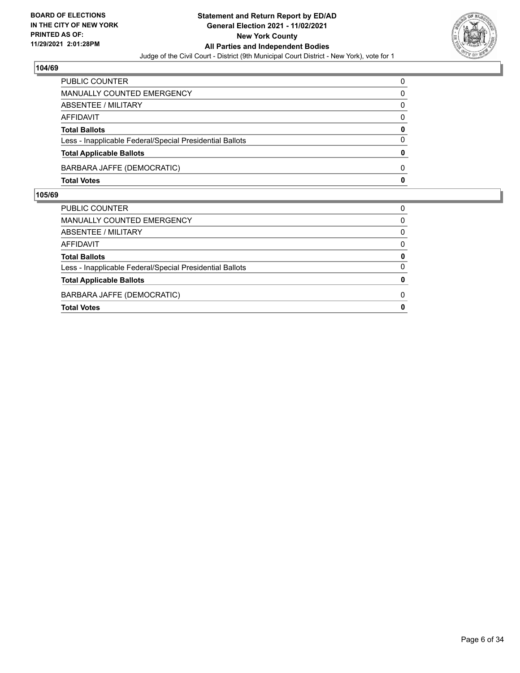

| <b>Total Votes</b>                                       | 0            |
|----------------------------------------------------------|--------------|
| BARBARA JAFFE (DEMOCRATIC)                               | <sup>0</sup> |
| <b>Total Applicable Ballots</b>                          | $\Omega$     |
| Less - Inapplicable Federal/Special Presidential Ballots | $\Omega$     |
| <b>Total Ballots</b>                                     | 0            |
| <b>AFFIDAVIT</b>                                         | $\Omega$     |
| <b>ABSENTEE / MILITARY</b>                               | $\Omega$     |
| MANUALLY COUNTED EMERGENCY                               | 0            |
| <b>PUBLIC COUNTER</b>                                    | 0            |

| PUBLIC COUNTER                                           | 0            |
|----------------------------------------------------------|--------------|
| <b>MANUALLY COUNTED EMERGENCY</b>                        | $\Omega$     |
| ABSENTEE / MILITARY                                      | $\Omega$     |
| AFFIDAVIT                                                | $\Omega$     |
| <b>Total Ballots</b>                                     | 0            |
| Less - Inapplicable Federal/Special Presidential Ballots | 0            |
| <b>Total Applicable Ballots</b>                          | 0            |
| BARBARA JAFFE (DEMOCRATIC)                               | 0            |
| <b>Total Votes</b>                                       | $\mathbf{0}$ |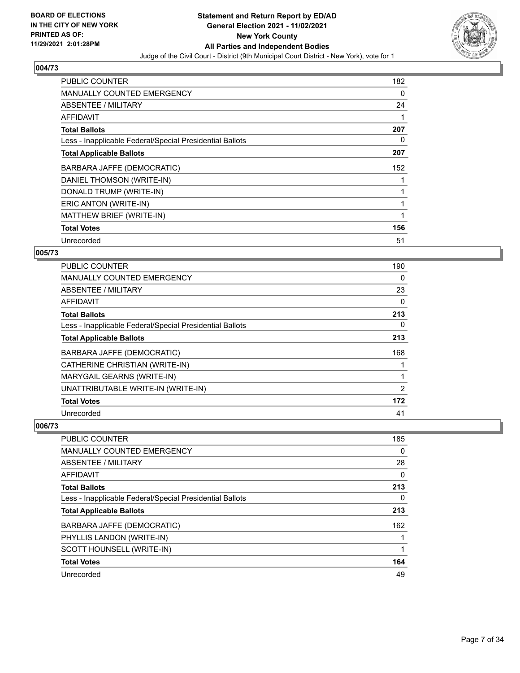

| <b>PUBLIC COUNTER</b>                                    | 182      |
|----------------------------------------------------------|----------|
| <b>MANUALLY COUNTED EMERGENCY</b>                        | $\Omega$ |
| ABSENTEE / MILITARY                                      | 24       |
| <b>AFFIDAVIT</b>                                         |          |
| <b>Total Ballots</b>                                     | 207      |
| Less - Inapplicable Federal/Special Presidential Ballots | 0        |
| <b>Total Applicable Ballots</b>                          | 207      |
| BARBARA JAFFE (DEMOCRATIC)                               | 152      |
| DANIEL THOMSON (WRITE-IN)                                |          |
| DONALD TRUMP (WRITE-IN)                                  |          |
| ERIC ANTON (WRITE-IN)                                    |          |
| MATTHEW BRIEF (WRITE-IN)                                 |          |
| <b>Total Votes</b>                                       | 156      |
|                                                          |          |

# **005/73**

| PUBLIC COUNTER                                           | 190      |
|----------------------------------------------------------|----------|
| <b>MANUALLY COUNTED EMERGENCY</b>                        | $\Omega$ |
| ABSENTEE / MILITARY                                      | 23       |
| AFFIDAVIT                                                | 0        |
| <b>Total Ballots</b>                                     | 213      |
| Less - Inapplicable Federal/Special Presidential Ballots | 0        |
| <b>Total Applicable Ballots</b>                          | 213      |
| BARBARA JAFFE (DEMOCRATIC)                               | 168      |
| CATHERINE CHRISTIAN (WRITE-IN)                           | 1        |
| MARYGAIL GEARNS (WRITE-IN)                               | 1        |
| UNATTRIBUTABLE WRITE-IN (WRITE-IN)                       | 2        |
| <b>Total Votes</b>                                       | 172      |
| Unrecorded                                               | 41       |

| <b>PUBLIC COUNTER</b>                                    | 185      |
|----------------------------------------------------------|----------|
| MANUALLY COUNTED EMERGENCY                               | $\Omega$ |
| ABSENTEE / MILITARY                                      | 28       |
| AFFIDAVIT                                                | 0        |
| <b>Total Ballots</b>                                     | 213      |
| Less - Inapplicable Federal/Special Presidential Ballots | 0        |
| <b>Total Applicable Ballots</b>                          | 213      |
| BARBARA JAFFE (DEMOCRATIC)                               | 162      |
| PHYLLIS LANDON (WRITE-IN)                                |          |
| SCOTT HOUNSELL (WRITE-IN)                                |          |
| <b>Total Votes</b>                                       | 164      |
| Unrecorded                                               | 49       |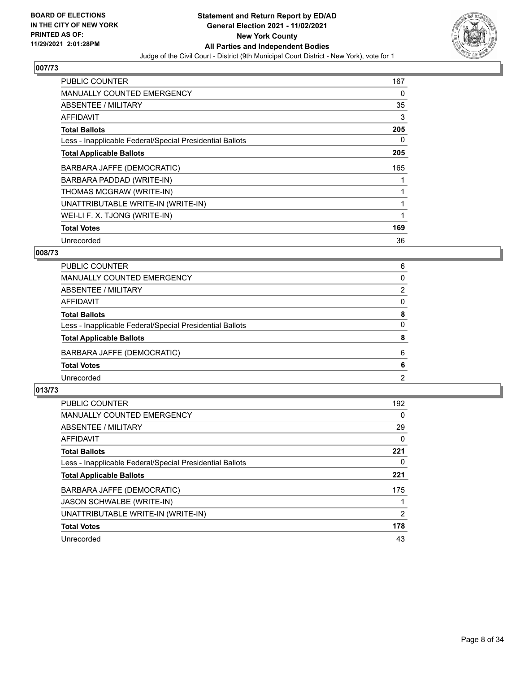

| <b>PUBLIC COUNTER</b>                                    | 167 |
|----------------------------------------------------------|-----|
| <b>MANUALLY COUNTED EMERGENCY</b>                        | 0   |
| ABSENTEE / MILITARY                                      | 35  |
| AFFIDAVIT                                                | 3   |
| <b>Total Ballots</b>                                     | 205 |
| Less - Inapplicable Federal/Special Presidential Ballots | 0   |
| <b>Total Applicable Ballots</b>                          | 205 |
| BARBARA JAFFE (DEMOCRATIC)                               | 165 |
| BARBARA PADDAD (WRITE-IN)                                |     |
| THOMAS MCGRAW (WRITE-IN)                                 |     |
| UNATTRIBUTABLE WRITE-IN (WRITE-IN)                       |     |
| WEI-LI F. X. TJONG (WRITE-IN)                            |     |
| <b>Total Votes</b>                                       | 169 |
| Unrecorded                                               | 36  |

## **008/73**

| PUBLIC COUNTER                                           | 6        |
|----------------------------------------------------------|----------|
| MANUALLY COUNTED EMERGENCY                               | $\Omega$ |
| ABSENTEE / MILITARY                                      | 2        |
| AFFIDAVIT                                                | $\Omega$ |
| <b>Total Ballots</b>                                     | 8        |
| Less - Inapplicable Federal/Special Presidential Ballots | $\Omega$ |
| <b>Total Applicable Ballots</b>                          | 8        |
| BARBARA JAFFE (DEMOCRATIC)                               | 6        |
| <b>Total Votes</b>                                       | 6        |
| Unrecorded                                               | 2        |
|                                                          |          |

| PUBLIC COUNTER                                           | 192 |
|----------------------------------------------------------|-----|
| <b>MANUALLY COUNTED EMERGENCY</b>                        | 0   |
| ABSENTEE / MILITARY                                      | 29  |
| <b>AFFIDAVIT</b>                                         | 0   |
| <b>Total Ballots</b>                                     | 221 |
| Less - Inapplicable Federal/Special Presidential Ballots | 0   |
| <b>Total Applicable Ballots</b>                          | 221 |
| BARBARA JAFFE (DEMOCRATIC)                               | 175 |
| JASON SCHWALBE (WRITE-IN)                                |     |
| UNATTRIBUTABLE WRITE-IN (WRITE-IN)                       | 2   |
| <b>Total Votes</b>                                       | 178 |
| Unrecorded                                               | 43  |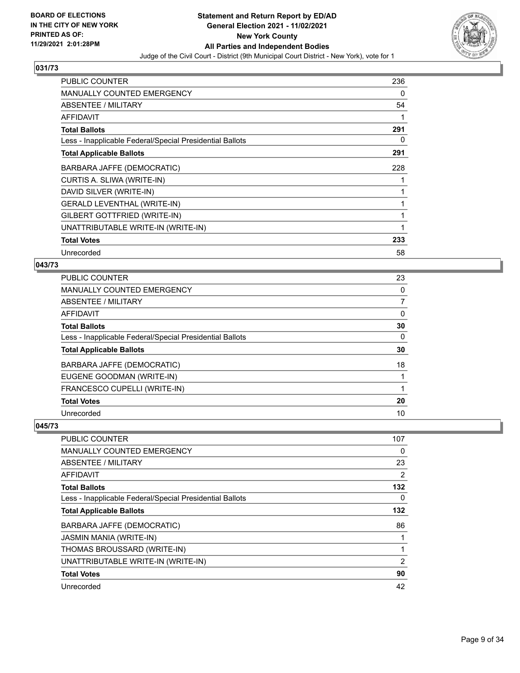

| <b>PUBLIC COUNTER</b>                                    | 236 |
|----------------------------------------------------------|-----|
| <b>MANUALLY COUNTED EMERGENCY</b>                        | 0   |
| ABSENTEE / MILITARY                                      | 54  |
| AFFIDAVIT                                                |     |
| <b>Total Ballots</b>                                     | 291 |
| Less - Inapplicable Federal/Special Presidential Ballots | 0   |
| <b>Total Applicable Ballots</b>                          | 291 |
| BARBARA JAFFE (DEMOCRATIC)                               | 228 |
| CURTIS A. SLIWA (WRITE-IN)                               |     |
| DAVID SILVER (WRITE-IN)                                  |     |
| <b>GERALD LEVENTHAL (WRITE-IN)</b>                       |     |
| GILBERT GOTTFRIED (WRITE-IN)                             |     |
| UNATTRIBUTABLE WRITE-IN (WRITE-IN)                       |     |
| <b>Total Votes</b>                                       | 233 |
| Unrecorded                                               | 58  |

# **043/73**

| PUBLIC COUNTER                                           | 23 |
|----------------------------------------------------------|----|
| <b>MANUALLY COUNTED EMERGENCY</b>                        | 0  |
| <b>ABSENTEE / MILITARY</b>                               |    |
| <b>AFFIDAVIT</b>                                         | 0  |
| <b>Total Ballots</b>                                     | 30 |
| Less - Inapplicable Federal/Special Presidential Ballots | 0  |
| <b>Total Applicable Ballots</b>                          | 30 |
| BARBARA JAFFE (DEMOCRATIC)                               | 18 |
| EUGENE GOODMAN (WRITE-IN)                                |    |
| FRANCESCO CUPELLI (WRITE-IN)                             |    |
| <b>Total Votes</b>                                       | 20 |
| Unrecorded                                               | 10 |

| PUBLIC COUNTER                                           | 107            |
|----------------------------------------------------------|----------------|
| MANUALLY COUNTED EMERGENCY                               | $\Omega$       |
| ABSENTEE / MILITARY                                      | 23             |
| AFFIDAVIT                                                | 2              |
| <b>Total Ballots</b>                                     | 132            |
| Less - Inapplicable Federal/Special Presidential Ballots | 0              |
| <b>Total Applicable Ballots</b>                          | 132            |
| BARBARA JAFFE (DEMOCRATIC)                               | 86             |
| <b>JASMIN MANIA (WRITE-IN)</b>                           |                |
| THOMAS BROUSSARD (WRITE-IN)                              |                |
| UNATTRIBUTABLE WRITE-IN (WRITE-IN)                       | $\overline{2}$ |
| <b>Total Votes</b>                                       | 90             |
| Unrecorded                                               | 42             |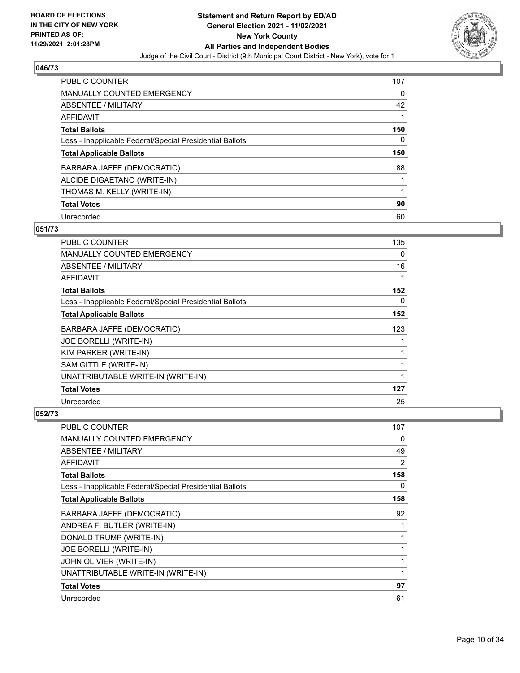

| <b>PUBLIC COUNTER</b>                                    | 107 |
|----------------------------------------------------------|-----|
| <b>MANUALLY COUNTED EMERGENCY</b>                        | 0   |
| ABSENTEE / MILITARY                                      | 42  |
| AFFIDAVIT                                                |     |
| <b>Total Ballots</b>                                     | 150 |
| Less - Inapplicable Federal/Special Presidential Ballots | 0   |
|                                                          |     |
| <b>Total Applicable Ballots</b>                          | 150 |
| BARBARA JAFFE (DEMOCRATIC)                               | 88  |
| ALCIDE DIGAETANO (WRITE-IN)                              |     |
| THOMAS M. KELLY (WRITE-IN)                               |     |
| <b>Total Votes</b>                                       | 90  |

#### **051/73**

| <b>PUBLIC COUNTER</b>                                    | 135 |
|----------------------------------------------------------|-----|
| <b>MANUALLY COUNTED EMERGENCY</b>                        | 0   |
| <b>ABSENTEE / MILITARY</b>                               | 16  |
| <b>AFFIDAVIT</b>                                         | 1   |
| <b>Total Ballots</b>                                     | 152 |
| Less - Inapplicable Federal/Special Presidential Ballots | 0   |
| <b>Total Applicable Ballots</b>                          | 152 |
| <b>BARBARA JAFFE (DEMOCRATIC)</b>                        | 123 |
| JOE BORELLI (WRITE-IN)                                   |     |
| KIM PARKER (WRITE-IN)                                    |     |
| SAM GITTLE (WRITE-IN)                                    |     |
| UNATTRIBUTABLE WRITE-IN (WRITE-IN)                       |     |
| <b>Total Votes</b>                                       | 127 |
| Unrecorded                                               | 25  |

| PUBLIC COUNTER                                           | 107 |
|----------------------------------------------------------|-----|
| <b>MANUALLY COUNTED EMERGENCY</b>                        | 0   |
| <b>ABSENTEE / MILITARY</b>                               | 49  |
| AFFIDAVIT                                                | 2   |
| <b>Total Ballots</b>                                     | 158 |
| Less - Inapplicable Federal/Special Presidential Ballots | 0   |
| <b>Total Applicable Ballots</b>                          | 158 |
| BARBARA JAFFE (DEMOCRATIC)                               | 92  |
| ANDREA F. BUTLER (WRITE-IN)                              |     |
| DONALD TRUMP (WRITE-IN)                                  |     |
| JOE BORELLI (WRITE-IN)                                   |     |
| JOHN OLIVIER (WRITE-IN)                                  |     |
| UNATTRIBUTABLE WRITE-IN (WRITE-IN)                       |     |
| <b>Total Votes</b>                                       | 97  |
| Unrecorded                                               | 61  |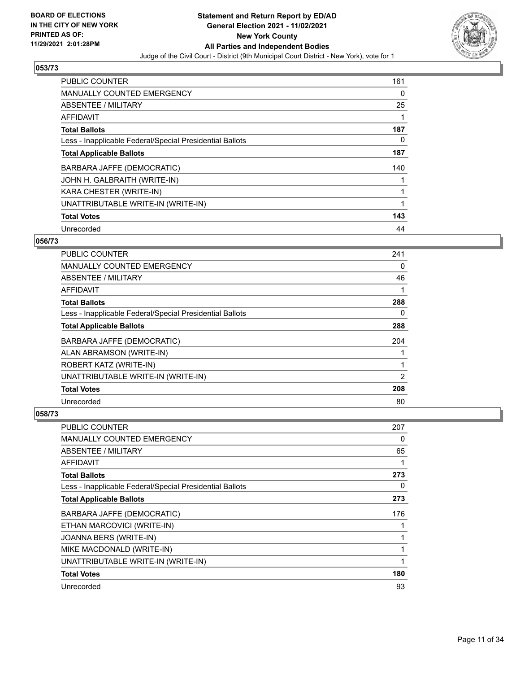

| <b>PUBLIC COUNTER</b>                                    | 161      |
|----------------------------------------------------------|----------|
| <b>MANUALLY COUNTED EMERGENCY</b>                        | 0        |
| ABSENTEE / MILITARY                                      | 25       |
| <b>AFFIDAVIT</b>                                         |          |
| <b>Total Ballots</b>                                     | 187      |
| Less - Inapplicable Federal/Special Presidential Ballots | $\Omega$ |
| <b>Total Applicable Ballots</b>                          | 187      |
| BARBARA JAFFE (DEMOCRATIC)                               | 140      |
| JOHN H. GALBRAITH (WRITE-IN)                             |          |
| KARA CHESTER (WRITE-IN)                                  |          |
| UNATTRIBUTABLE WRITE-IN (WRITE-IN)                       | 1        |
| <b>Total Votes</b>                                       | 143      |
| Unrecorded                                               | 44       |

#### **056/73**

| <b>PUBLIC COUNTER</b>                                    | 241 |
|----------------------------------------------------------|-----|
| <b>MANUALLY COUNTED EMERGENCY</b>                        | 0   |
| ABSENTEE / MILITARY                                      | 46  |
| <b>AFFIDAVIT</b>                                         |     |
| <b>Total Ballots</b>                                     | 288 |
| Less - Inapplicable Federal/Special Presidential Ballots | 0   |
| <b>Total Applicable Ballots</b>                          | 288 |
| BARBARA JAFFE (DEMOCRATIC)                               | 204 |
| ALAN ABRAMSON (WRITE-IN)                                 |     |
| ROBERT KATZ (WRITE-IN)                                   |     |
| UNATTRIBUTABLE WRITE-IN (WRITE-IN)                       | 2   |
| <b>Total Votes</b>                                       | 208 |
| Unrecorded                                               | 80  |

| <b>PUBLIC COUNTER</b>                                    | 207 |
|----------------------------------------------------------|-----|
| MANUALLY COUNTED EMERGENCY                               | 0   |
| ABSENTEE / MILITARY                                      | 65  |
| AFFIDAVIT                                                | 1   |
| <b>Total Ballots</b>                                     | 273 |
| Less - Inapplicable Federal/Special Presidential Ballots | 0   |
| <b>Total Applicable Ballots</b>                          | 273 |
| BARBARA JAFFE (DEMOCRATIC)                               | 176 |
| ETHAN MARCOVICI (WRITE-IN)                               |     |
| JOANNA BERS (WRITE-IN)                                   | 1   |
| MIKE MACDONALD (WRITE-IN)                                | 1   |
| UNATTRIBUTABLE WRITE-IN (WRITE-IN)                       | 1   |
| <b>Total Votes</b>                                       | 180 |
| Unrecorded                                               | 93  |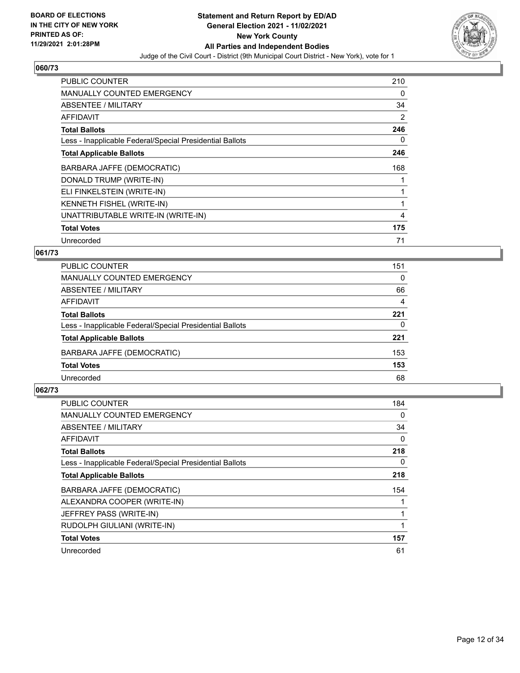

| <b>PUBLIC COUNTER</b>                                    | 210 |
|----------------------------------------------------------|-----|
| <b>MANUALLY COUNTED EMERGENCY</b>                        | 0   |
| ABSENTEE / MILITARY                                      | 34  |
| AFFIDAVIT                                                | 2   |
| <b>Total Ballots</b>                                     | 246 |
| Less - Inapplicable Federal/Special Presidential Ballots | 0   |
| <b>Total Applicable Ballots</b>                          | 246 |
| BARBARA JAFFE (DEMOCRATIC)                               | 168 |
| DONALD TRUMP (WRITE-IN)                                  |     |
| ELI FINKELSTEIN (WRITE-IN)                               |     |
| KENNETH FISHEL (WRITE-IN)                                | 1   |
| UNATTRIBUTABLE WRITE-IN (WRITE-IN)                       | 4   |
| <b>Total Votes</b>                                       | 175 |
| Unrecorded                                               | 71  |

## **061/73**

| PUBLIC COUNTER                                           | 151      |
|----------------------------------------------------------|----------|
| MANUALLY COUNTED EMERGENCY                               | $\Omega$ |
| <b>ABSENTEE / MILITARY</b>                               | 66       |
| AFFIDAVIT                                                | 4        |
| <b>Total Ballots</b>                                     | 221      |
| Less - Inapplicable Federal/Special Presidential Ballots | 0        |
| <b>Total Applicable Ballots</b>                          | 221      |
| BARBARA JAFFE (DEMOCRATIC)                               | 153      |
| <b>Total Votes</b>                                       | 153      |
| Unrecorded                                               | 68       |

| PUBLIC COUNTER                                           | 184 |
|----------------------------------------------------------|-----|
| <b>MANUALLY COUNTED EMERGENCY</b>                        | 0   |
| ABSENTEE / MILITARY                                      | 34  |
| AFFIDAVIT                                                | 0   |
| <b>Total Ballots</b>                                     | 218 |
| Less - Inapplicable Federal/Special Presidential Ballots | 0   |
| <b>Total Applicable Ballots</b>                          | 218 |
| BARBARA JAFFE (DEMOCRATIC)                               | 154 |
| ALEXANDRA COOPER (WRITE-IN)                              |     |
| JEFFREY PASS (WRITE-IN)                                  |     |
| RUDOLPH GIULIANI (WRITE-IN)                              |     |
| <b>Total Votes</b>                                       | 157 |
| Unrecorded                                               | 61  |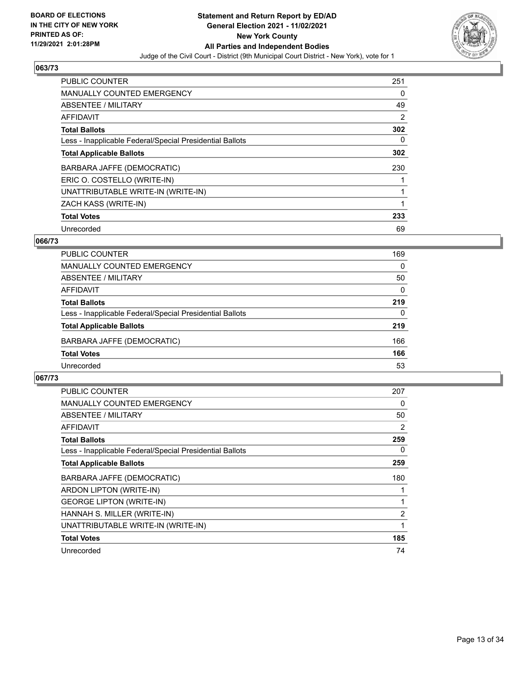

| PUBLIC COUNTER                                           | 251 |
|----------------------------------------------------------|-----|
| <b>MANUALLY COUNTED EMERGENCY</b>                        | 0   |
| <b>ABSENTEE / MILITARY</b>                               | 49  |
| AFFIDAVIT                                                | 2   |
| <b>Total Ballots</b>                                     | 302 |
| Less - Inapplicable Federal/Special Presidential Ballots | 0   |
| <b>Total Applicable Ballots</b>                          | 302 |
| BARBARA JAFFE (DEMOCRATIC)                               | 230 |
| ERIC O. COSTELLO (WRITE-IN)                              |     |
| UNATTRIBUTABLE WRITE-IN (WRITE-IN)                       | 1   |
| ZACH KASS (WRITE-IN)                                     |     |
| <b>Total Votes</b>                                       | 233 |
| Unrecorded                                               | 69  |

### **066/73**

| <b>PUBLIC COUNTER</b>                                    | 169      |
|----------------------------------------------------------|----------|
| MANUALLY COUNTED EMERGENCY                               | $\Omega$ |
| ABSENTEE / MILITARY                                      | 50       |
| AFFIDAVIT                                                | $\Omega$ |
| <b>Total Ballots</b>                                     | 219      |
| Less - Inapplicable Federal/Special Presidential Ballots | $\Omega$ |
| <b>Total Applicable Ballots</b>                          | 219      |
| BARBARA JAFFE (DEMOCRATIC)                               | 166      |
| <b>Total Votes</b>                                       | 166      |
| Unrecorded                                               | 53       |

| <b>PUBLIC COUNTER</b>                                    | 207            |
|----------------------------------------------------------|----------------|
| MANUALLY COUNTED EMERGENCY                               | 0              |
| ABSENTEE / MILITARY                                      | 50             |
| AFFIDAVIT                                                | 2              |
| <b>Total Ballots</b>                                     | 259            |
| Less - Inapplicable Federal/Special Presidential Ballots | 0              |
| <b>Total Applicable Ballots</b>                          | 259            |
| BARBARA JAFFE (DEMOCRATIC)                               | 180            |
| ARDON LIPTON (WRITE-IN)                                  |                |
| <b>GEORGE LIPTON (WRITE-IN)</b>                          |                |
| HANNAH S. MILLER (WRITE-IN)                              | $\overline{2}$ |
| UNATTRIBUTABLE WRITE-IN (WRITE-IN)                       |                |
| <b>Total Votes</b>                                       | 185            |
| Unrecorded                                               | 74             |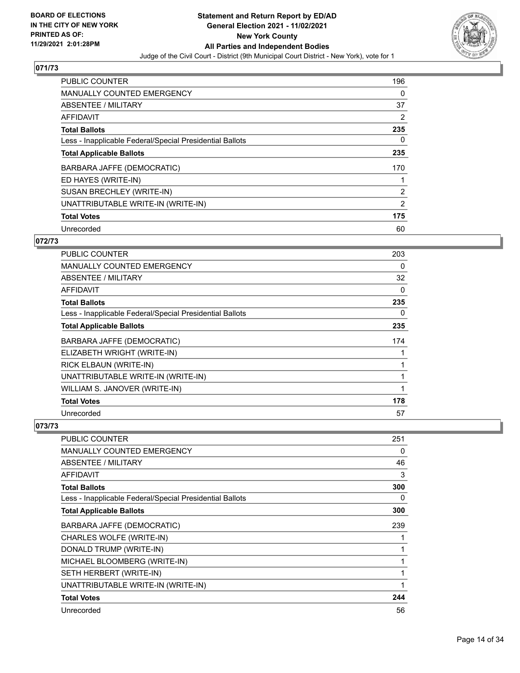

| <b>PUBLIC COUNTER</b>                                    | 196            |
|----------------------------------------------------------|----------------|
| <b>MANUALLY COUNTED EMERGENCY</b>                        | 0              |
| ABSENTEE / MILITARY                                      | 37             |
| <b>AFFIDAVIT</b>                                         | 2              |
| <b>Total Ballots</b>                                     | 235            |
| Less - Inapplicable Federal/Special Presidential Ballots | 0              |
| <b>Total Applicable Ballots</b>                          | 235            |
| BARBARA JAFFE (DEMOCRATIC)                               | 170            |
| ED HAYES (WRITE-IN)                                      | 1              |
| SUSAN BRECHLEY (WRITE-IN)                                | 2              |
| UNATTRIBUTABLE WRITE-IN (WRITE-IN)                       | $\overline{2}$ |
| <b>Total Votes</b>                                       | 175            |
| Unrecorded                                               | 60             |

### **072/73**

| <b>PUBLIC COUNTER</b>                                    | 203 |
|----------------------------------------------------------|-----|
| <b>MANUALLY COUNTED EMERGENCY</b>                        | 0   |
| ABSENTEE / MILITARY                                      | 32  |
| <b>AFFIDAVIT</b>                                         | 0   |
| <b>Total Ballots</b>                                     | 235 |
| Less - Inapplicable Federal/Special Presidential Ballots | 0   |
| <b>Total Applicable Ballots</b>                          | 235 |
| BARBARA JAFFE (DEMOCRATIC)                               | 174 |
| ELIZABETH WRIGHT (WRITE-IN)                              |     |
| RICK ELBAUN (WRITE-IN)                                   |     |
| UNATTRIBUTABLE WRITE-IN (WRITE-IN)                       |     |
| WILLIAM S. JANOVER (WRITE-IN)                            |     |
| <b>Total Votes</b>                                       | 178 |
| Unrecorded                                               | 57  |

| <b>PUBLIC COUNTER</b>                                    | 251         |
|----------------------------------------------------------|-------------|
| <b>MANUALLY COUNTED EMERGENCY</b>                        | 0           |
| ABSENTEE / MILITARY                                      | 46          |
| <b>AFFIDAVIT</b>                                         | 3           |
| <b>Total Ballots</b>                                     | 300         |
| Less - Inapplicable Federal/Special Presidential Ballots | 0           |
| <b>Total Applicable Ballots</b>                          | 300         |
| BARBARA JAFFE (DEMOCRATIC)                               | 239         |
| CHARLES WOLFE (WRITE-IN)                                 |             |
| DONALD TRUMP (WRITE-IN)                                  |             |
| MICHAEL BLOOMBERG (WRITE-IN)                             |             |
| SETH HERBERT (WRITE-IN)                                  |             |
| UNATTRIBUTABLE WRITE-IN (WRITE-IN)                       | $\mathbf 1$ |
| <b>Total Votes</b>                                       | 244         |
| Unrecorded                                               | 56          |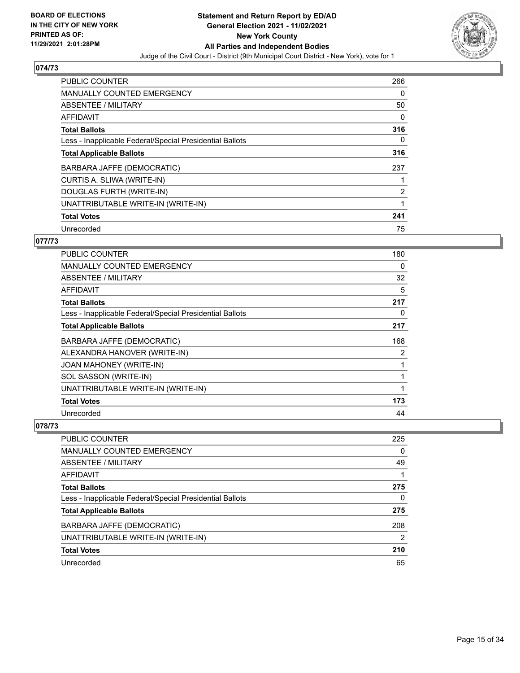

| PUBLIC COUNTER                                           | 266 |
|----------------------------------------------------------|-----|
| <b>MANUALLY COUNTED EMERGENCY</b>                        | 0   |
| ABSENTEE / MILITARY                                      | 50  |
| <b>AFFIDAVIT</b>                                         | 0   |
| <b>Total Ballots</b>                                     | 316 |
| Less - Inapplicable Federal/Special Presidential Ballots | 0   |
| <b>Total Applicable Ballots</b>                          | 316 |
| BARBARA JAFFE (DEMOCRATIC)                               | 237 |
| CURTIS A. SLIWA (WRITE-IN)                               |     |
| DOUGLAS FURTH (WRITE-IN)                                 | 2   |
| UNATTRIBUTABLE WRITE-IN (WRITE-IN)                       | 1   |
| <b>Total Votes</b>                                       | 241 |
| Unrecorded                                               | 75  |

### **077/73**

| <b>PUBLIC COUNTER</b>                                    | 180 |
|----------------------------------------------------------|-----|
| <b>MANUALLY COUNTED EMERGENCY</b>                        | 0   |
| ABSENTEE / MILITARY                                      | 32  |
| <b>AFFIDAVIT</b>                                         | 5   |
| <b>Total Ballots</b>                                     | 217 |
| Less - Inapplicable Federal/Special Presidential Ballots | 0   |
| <b>Total Applicable Ballots</b>                          | 217 |
| BARBARA JAFFE (DEMOCRATIC)                               | 168 |
| ALEXANDRA HANOVER (WRITE-IN)                             | 2   |
| JOAN MAHONEY (WRITE-IN)                                  | 1   |
| SOL SASSON (WRITE-IN)                                    | 1   |
| UNATTRIBUTABLE WRITE-IN (WRITE-IN)                       | 1   |
| <b>Total Votes</b>                                       | 173 |
| Unrecorded                                               | 44  |

| PUBLIC COUNTER                                           | 225      |
|----------------------------------------------------------|----------|
| MANUALLY COUNTED EMERGENCY                               | $\Omega$ |
| ABSENTEE / MILITARY                                      | 49       |
| AFFIDAVIT                                                |          |
| <b>Total Ballots</b>                                     | 275      |
| Less - Inapplicable Federal/Special Presidential Ballots | 0        |
| <b>Total Applicable Ballots</b>                          | 275      |
| BARBARA JAFFE (DEMOCRATIC)                               | 208      |
| UNATTRIBUTABLE WRITE-IN (WRITE-IN)                       | 2        |
| <b>Total Votes</b>                                       | 210      |
| Unrecorded                                               | 65       |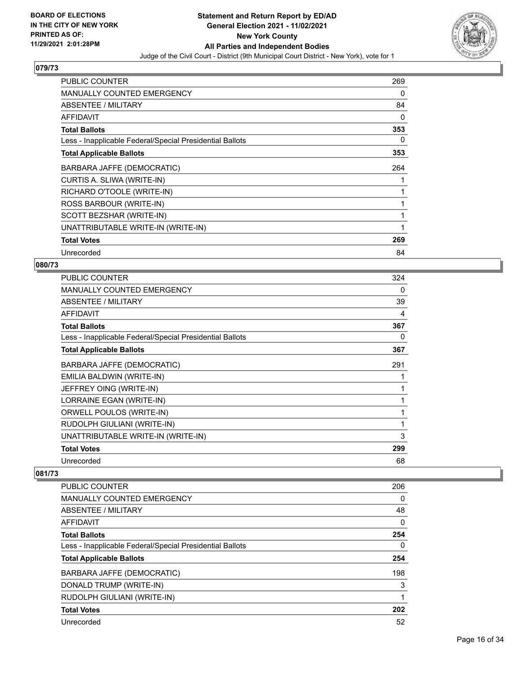

| <b>PUBLIC COUNTER</b>                                    | 269 |
|----------------------------------------------------------|-----|
| MANUALLY COUNTED EMERGENCY                               | 0   |
| ABSENTEE / MILITARY                                      | 84  |
| <b>AFFIDAVIT</b>                                         | 0   |
| <b>Total Ballots</b>                                     | 353 |
| Less - Inapplicable Federal/Special Presidential Ballots | 0   |
| <b>Total Applicable Ballots</b>                          | 353 |
| BARBARA JAFFE (DEMOCRATIC)                               | 264 |
| CURTIS A. SLIWA (WRITE-IN)                               |     |
| RICHARD O'TOOLE (WRITE-IN)                               |     |
| ROSS BARBOUR (WRITE-IN)                                  |     |
| SCOTT BEZSHAR (WRITE-IN)                                 |     |
| UNATTRIBUTABLE WRITE-IN (WRITE-IN)                       |     |
| <b>Total Votes</b>                                       | 269 |
| Unrecorded                                               | 84  |

## **080/73**

| 324 |
|-----|
| 0   |
| 39  |
| 4   |
| 367 |
| 0   |
| 367 |
| 291 |
|     |
| 1   |
| 1   |
| 1   |
| 1   |
| 3   |
| 299 |
| 68  |
|     |

| <b>PUBLIC COUNTER</b>                                    | 206      |
|----------------------------------------------------------|----------|
| <b>MANUALLY COUNTED EMERGENCY</b>                        | 0        |
| ABSENTEE / MILITARY                                      | 48       |
| <b>AFFIDAVIT</b>                                         | $\Omega$ |
| <b>Total Ballots</b>                                     | 254      |
| Less - Inapplicable Federal/Special Presidential Ballots | 0        |
| <b>Total Applicable Ballots</b>                          | 254      |
| BARBARA JAFFE (DEMOCRATIC)                               | 198      |
| DONALD TRUMP (WRITE-IN)                                  | 3        |
| RUDOLPH GIULIANI (WRITE-IN)                              | 1        |
| <b>Total Votes</b>                                       | 202      |
| Unrecorded                                               | 52       |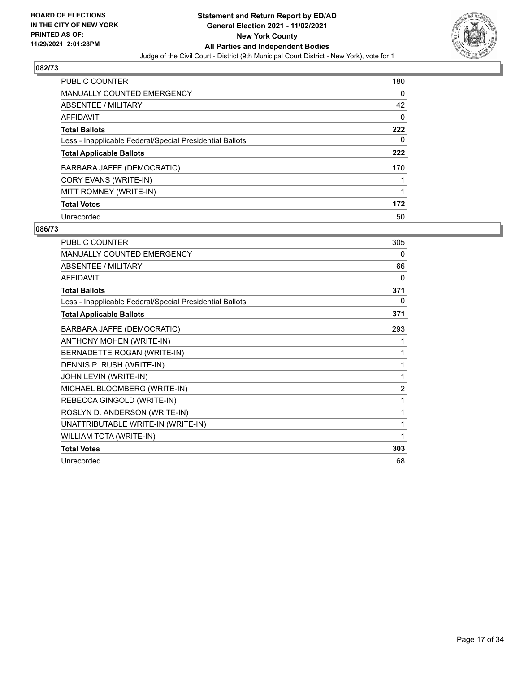

| PUBLIC COUNTER                                           | 180 |
|----------------------------------------------------------|-----|
| <b>MANUALLY COUNTED EMERGENCY</b>                        | 0   |
| ABSENTEE / MILITARY                                      | 42  |
| <b>AFFIDAVIT</b>                                         | 0   |
| <b>Total Ballots</b>                                     | 222 |
| Less - Inapplicable Federal/Special Presidential Ballots | 0   |
| <b>Total Applicable Ballots</b>                          | 222 |
| BARBARA JAFFE (DEMOCRATIC)                               | 170 |
| CORY EVANS (WRITE-IN)                                    |     |
| MITT ROMNEY (WRITE-IN)                                   |     |
| <b>Total Votes</b>                                       | 172 |
| Unrecorded                                               | 50  |

| <b>PUBLIC COUNTER</b>                                    | 305            |
|----------------------------------------------------------|----------------|
| <b>MANUALLY COUNTED EMERGENCY</b>                        | 0              |
| ABSENTEE / MILITARY                                      | 66             |
| <b>AFFIDAVIT</b>                                         | 0              |
| <b>Total Ballots</b>                                     | 371            |
| Less - Inapplicable Federal/Special Presidential Ballots | 0              |
| <b>Total Applicable Ballots</b>                          | 371            |
| BARBARA JAFFE (DEMOCRATIC)                               | 293            |
| <b>ANTHONY MOHEN (WRITE-IN)</b>                          | 1              |
| BERNADETTE ROGAN (WRITE-IN)                              | 1              |
| DENNIS P. RUSH (WRITE-IN)                                | 1              |
| JOHN LEVIN (WRITE-IN)                                    | 1              |
| MICHAEL BLOOMBERG (WRITE-IN)                             | $\overline{2}$ |
| REBECCA GINGOLD (WRITE-IN)                               | 1              |
| ROSLYN D. ANDERSON (WRITE-IN)                            | 1              |
| UNATTRIBUTABLE WRITE-IN (WRITE-IN)                       | 1              |
| <b>WILLIAM TOTA (WRITE-IN)</b>                           | 1              |
| <b>Total Votes</b>                                       | 303            |
| Unrecorded                                               | 68             |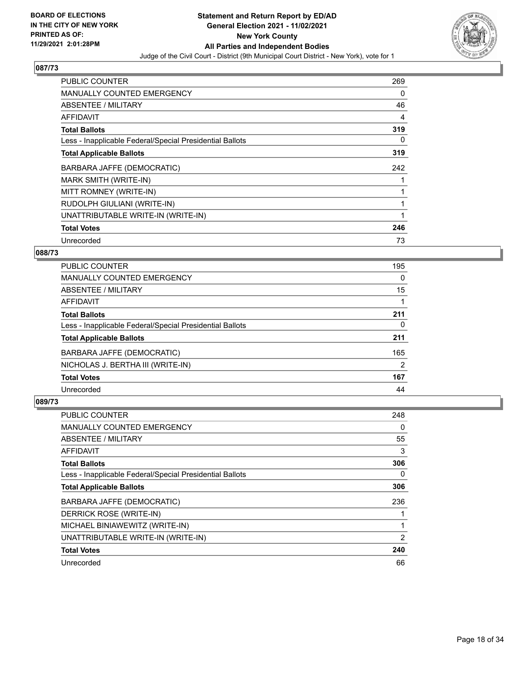

| <b>PUBLIC COUNTER</b>                                    | 269 |
|----------------------------------------------------------|-----|
| <b>MANUALLY COUNTED EMERGENCY</b>                        | 0   |
| <b>ABSENTEE / MILITARY</b>                               | 46  |
| AFFIDAVIT                                                | 4   |
| <b>Total Ballots</b>                                     | 319 |
| Less - Inapplicable Federal/Special Presidential Ballots | 0   |
| <b>Total Applicable Ballots</b>                          | 319 |
| BARBARA JAFFE (DEMOCRATIC)                               | 242 |
| MARK SMITH (WRITE-IN)                                    |     |
| MITT ROMNEY (WRITE-IN)                                   |     |
| RUDOLPH GIULIANI (WRITE-IN)                              |     |
| UNATTRIBUTABLE WRITE-IN (WRITE-IN)                       |     |
| <b>Total Votes</b>                                       | 246 |
| Unrecorded                                               | 73  |

## **088/73**

| <b>PUBLIC COUNTER</b>                                    | 195      |
|----------------------------------------------------------|----------|
| MANUALLY COUNTED EMERGENCY                               | $\Omega$ |
| ABSENTEE / MILITARY                                      | 15       |
| AFFIDAVIT                                                |          |
| <b>Total Ballots</b>                                     | 211      |
| Less - Inapplicable Federal/Special Presidential Ballots | 0        |
| <b>Total Applicable Ballots</b>                          | 211      |
| BARBARA JAFFE (DEMOCRATIC)                               | 165      |
| NICHOLAS J. BERTHA III (WRITE-IN)                        | 2        |
| <b>Total Votes</b>                                       | 167      |
| Unrecorded                                               | 44       |

| <b>PUBLIC COUNTER</b>                                    | 248 |
|----------------------------------------------------------|-----|
| <b>MANUALLY COUNTED EMERGENCY</b>                        | 0   |
| ABSENTEE / MILITARY                                      | 55  |
| AFFIDAVIT                                                | 3   |
| <b>Total Ballots</b>                                     | 306 |
| Less - Inapplicable Federal/Special Presidential Ballots | 0   |
| <b>Total Applicable Ballots</b>                          | 306 |
| BARBARA JAFFE (DEMOCRATIC)                               | 236 |
| DERRICK ROSE (WRITE-IN)                                  |     |
| MICHAEL BINIAWEWITZ (WRITE-IN)                           |     |
| UNATTRIBUTABLE WRITE-IN (WRITE-IN)                       | 2   |
| <b>Total Votes</b>                                       | 240 |
| Unrecorded                                               | 66  |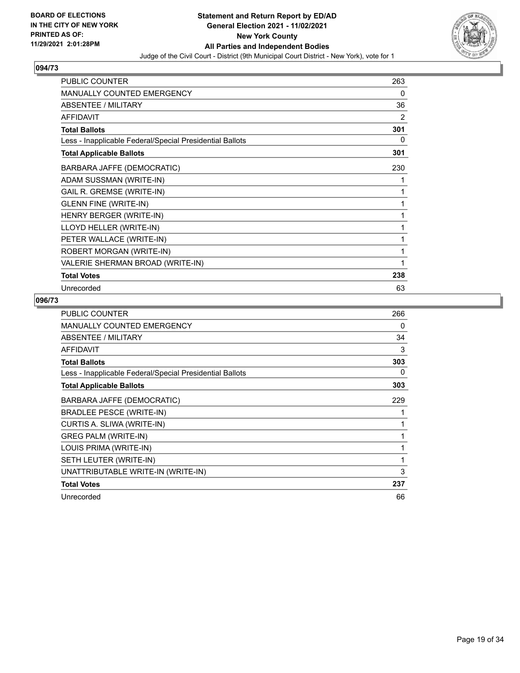

| <b>PUBLIC COUNTER</b>                                    | 263 |
|----------------------------------------------------------|-----|
| <b>MANUALLY COUNTED EMERGENCY</b>                        | 0   |
| <b>ABSENTEE / MILITARY</b>                               | 36  |
| <b>AFFIDAVIT</b>                                         | 2   |
| <b>Total Ballots</b>                                     | 301 |
| Less - Inapplicable Federal/Special Presidential Ballots | 0   |
| <b>Total Applicable Ballots</b>                          | 301 |
| BARBARA JAFFE (DEMOCRATIC)                               | 230 |
| ADAM SUSSMAN (WRITE-IN)                                  | 1   |
| GAIL R. GREMSE (WRITE-IN)                                | 1   |
| <b>GLENN FINE (WRITE-IN)</b>                             | 1   |
| HENRY BERGER (WRITE-IN)                                  | 1   |
| LLOYD HELLER (WRITE-IN)                                  | 1   |
| PETER WALLACE (WRITE-IN)                                 | 1   |
| ROBERT MORGAN (WRITE-IN)                                 | 1   |
| VALERIE SHERMAN BROAD (WRITE-IN)                         | 1   |
| <b>Total Votes</b>                                       | 238 |
| Unrecorded                                               | 63  |

| <b>PUBLIC COUNTER</b>                                    | 266 |
|----------------------------------------------------------|-----|
| MANUALLY COUNTED EMERGENCY                               | 0   |
| ABSENTEE / MILITARY                                      | 34  |
| <b>AFFIDAVIT</b>                                         | 3   |
| <b>Total Ballots</b>                                     | 303 |
| Less - Inapplicable Federal/Special Presidential Ballots | 0   |
| <b>Total Applicable Ballots</b>                          | 303 |
| BARBARA JAFFE (DEMOCRATIC)                               | 229 |
| <b>BRADLEE PESCE (WRITE-IN)</b>                          |     |
| CURTIS A. SLIWA (WRITE-IN)                               |     |
| <b>GREG PALM (WRITE-IN)</b>                              |     |
| LOUIS PRIMA (WRITE-IN)                                   | 1   |
| SETH LEUTER (WRITE-IN)                                   | 1   |
| UNATTRIBUTABLE WRITE-IN (WRITE-IN)                       | 3   |
| <b>Total Votes</b>                                       | 237 |
| Unrecorded                                               | 66  |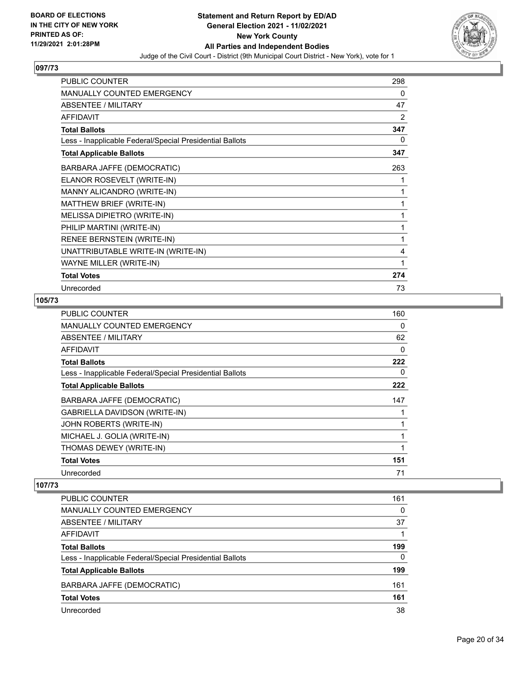

| <b>PUBLIC COUNTER</b>                                    | 298 |
|----------------------------------------------------------|-----|
| <b>MANUALLY COUNTED EMERGENCY</b>                        | 0   |
| ABSENTEE / MILITARY                                      | 47  |
| <b>AFFIDAVIT</b>                                         | 2   |
| <b>Total Ballots</b>                                     | 347 |
| Less - Inapplicable Federal/Special Presidential Ballots | 0   |
| <b>Total Applicable Ballots</b>                          | 347 |
| BARBARA JAFFE (DEMOCRATIC)                               | 263 |
| ELANOR ROSEVELT (WRITE-IN)                               | 1   |
| MANNY ALICANDRO (WRITE-IN)                               | 1   |
| MATTHEW BRIEF (WRITE-IN)                                 | 1   |
| MELISSA DIPIETRO (WRITE-IN)                              | 1   |
| PHILIP MARTINI (WRITE-IN)                                | 1   |
| <b>RENEE BERNSTEIN (WRITE-IN)</b>                        | 1   |
| UNATTRIBUTABLE WRITE-IN (WRITE-IN)                       | 4   |
| WAYNE MILLER (WRITE-IN)                                  | 1   |
| <b>Total Votes</b>                                       | 274 |
| Unrecorded                                               | 73  |

# **105/73**

| <b>PUBLIC COUNTER</b>                                    | 160 |
|----------------------------------------------------------|-----|
| MANUALLY COUNTED EMERGENCY                               | 0   |
| ABSENTEE / MILITARY                                      | 62  |
| <b>AFFIDAVIT</b>                                         | 0   |
| <b>Total Ballots</b>                                     | 222 |
| Less - Inapplicable Federal/Special Presidential Ballots | 0   |
| <b>Total Applicable Ballots</b>                          | 222 |
| BARBARA JAFFE (DEMOCRATIC)                               | 147 |
| <b>GABRIELLA DAVIDSON (WRITE-IN)</b>                     |     |
| JOHN ROBERTS (WRITE-IN)                                  |     |
| MICHAEL J. GOLIA (WRITE-IN)                              |     |
| THOMAS DEWEY (WRITE-IN)                                  |     |
| <b>Total Votes</b>                                       | 151 |
| Unrecorded                                               | 71  |

| <b>PUBLIC COUNTER</b>                                    | 161      |
|----------------------------------------------------------|----------|
| MANUALLY COUNTED EMERGENCY                               | 0        |
| ABSENTEE / MILITARY                                      | 37       |
| AFFIDAVIT                                                |          |
| <b>Total Ballots</b>                                     | 199      |
| Less - Inapplicable Federal/Special Presidential Ballots | $\Omega$ |
| <b>Total Applicable Ballots</b>                          | 199      |
| BARBARA JAFFE (DEMOCRATIC)                               | 161      |
| <b>Total Votes</b>                                       | 161      |
| Unrecorded                                               | 38       |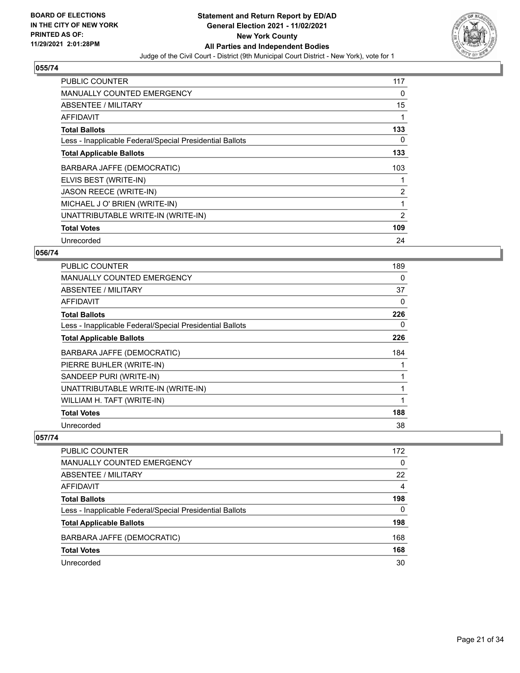

| <b>PUBLIC COUNTER</b>                                    | 117 |
|----------------------------------------------------------|-----|
| <b>MANUALLY COUNTED EMERGENCY</b>                        | 0   |
| ABSENTEE / MILITARY                                      | 15  |
| AFFIDAVIT                                                |     |
| <b>Total Ballots</b>                                     | 133 |
| Less - Inapplicable Federal/Special Presidential Ballots | 0   |
| <b>Total Applicable Ballots</b>                          | 133 |
| BARBARA JAFFE (DEMOCRATIC)                               | 103 |
| ELVIS BEST (WRITE-IN)                                    |     |
| <b>JASON REECE (WRITE-IN)</b>                            | 2   |
| MICHAEL J O' BRIEN (WRITE-IN)                            | 1   |
| UNATTRIBUTABLE WRITE-IN (WRITE-IN)                       | 2   |
| <b>Total Votes</b>                                       | 109 |
| Unrecorded                                               | 24  |

## **056/74**

| <b>PUBLIC COUNTER</b>                                    | 189 |
|----------------------------------------------------------|-----|
| MANUALLY COUNTED EMERGENCY                               | 0   |
| ABSENTEE / MILITARY                                      | 37  |
| AFFIDAVIT                                                | 0   |
| <b>Total Ballots</b>                                     | 226 |
| Less - Inapplicable Federal/Special Presidential Ballots | 0   |
| <b>Total Applicable Ballots</b>                          | 226 |
| BARBARA JAFFE (DEMOCRATIC)                               | 184 |
| PIERRE BUHLER (WRITE-IN)                                 |     |
| SANDEEP PURI (WRITE-IN)                                  |     |
| UNATTRIBUTABLE WRITE-IN (WRITE-IN)                       | 1   |
| WILLIAM H. TAFT (WRITE-IN)                               |     |
| <b>Total Votes</b>                                       | 188 |
| Unrecorded                                               | 38  |

| PUBLIC COUNTER                                           | 172      |
|----------------------------------------------------------|----------|
| <b>MANUALLY COUNTED EMERGENCY</b>                        | $\Omega$ |
| ABSENTEE / MILITARY                                      | 22       |
| AFFIDAVIT                                                | 4        |
| <b>Total Ballots</b>                                     | 198      |
| Less - Inapplicable Federal/Special Presidential Ballots | 0        |
| <b>Total Applicable Ballots</b>                          | 198      |
| BARBARA JAFFE (DEMOCRATIC)                               | 168      |
| <b>Total Votes</b>                                       | 168      |
| Unrecorded                                               | 30       |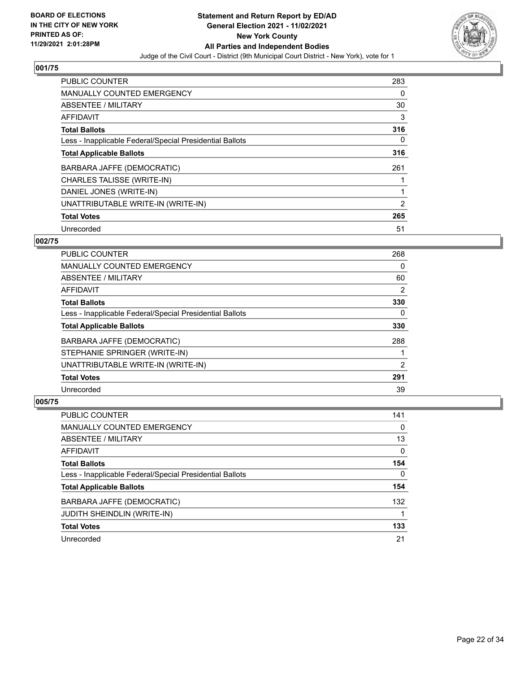

| PUBLIC COUNTER                                           | 283            |
|----------------------------------------------------------|----------------|
| <b>MANUALLY COUNTED EMERGENCY</b>                        | 0              |
| ABSENTEE / MILITARY                                      | 30             |
| <b>AFFIDAVIT</b>                                         | 3              |
| <b>Total Ballots</b>                                     | 316            |
| Less - Inapplicable Federal/Special Presidential Ballots | $\Omega$       |
| <b>Total Applicable Ballots</b>                          | 316            |
| BARBARA JAFFE (DEMOCRATIC)                               | 261            |
| CHARLES TALISSE (WRITE-IN)                               |                |
| DANIEL JONES (WRITE-IN)                                  |                |
| UNATTRIBUTABLE WRITE-IN (WRITE-IN)                       | $\mathfrak{p}$ |
| <b>Total Votes</b>                                       | 265            |
| Unrecorded                                               | 51             |

#### **002/75**

| <b>PUBLIC COUNTER</b>                                    | 268 |
|----------------------------------------------------------|-----|
| <b>MANUALLY COUNTED EMERGENCY</b>                        | 0   |
| ABSENTEE / MILITARY                                      | 60  |
| AFFIDAVIT                                                | 2   |
| <b>Total Ballots</b>                                     | 330 |
| Less - Inapplicable Federal/Special Presidential Ballots | 0   |
| <b>Total Applicable Ballots</b>                          | 330 |
| BARBARA JAFFE (DEMOCRATIC)                               | 288 |
| STEPHANIE SPRINGER (WRITE-IN)                            |     |
| UNATTRIBUTABLE WRITE-IN (WRITE-IN)                       | 2   |
| <b>Total Votes</b>                                       | 291 |
| Unrecorded                                               | 39  |

| <b>PUBLIC COUNTER</b>                                    | 141      |
|----------------------------------------------------------|----------|
| <b>MANUALLY COUNTED EMERGENCY</b>                        | $\Omega$ |
| <b>ABSENTEE / MILITARY</b>                               | 13       |
| AFFIDAVIT                                                | $\Omega$ |
| <b>Total Ballots</b>                                     | 154      |
| Less - Inapplicable Federal/Special Presidential Ballots | 0        |
| <b>Total Applicable Ballots</b>                          | 154      |
| BARBARA JAFFE (DEMOCRATIC)                               | 132      |
| JUDITH SHEINDLIN (WRITE-IN)                              |          |
| <b>Total Votes</b>                                       | 133      |
| Unrecorded                                               | 21       |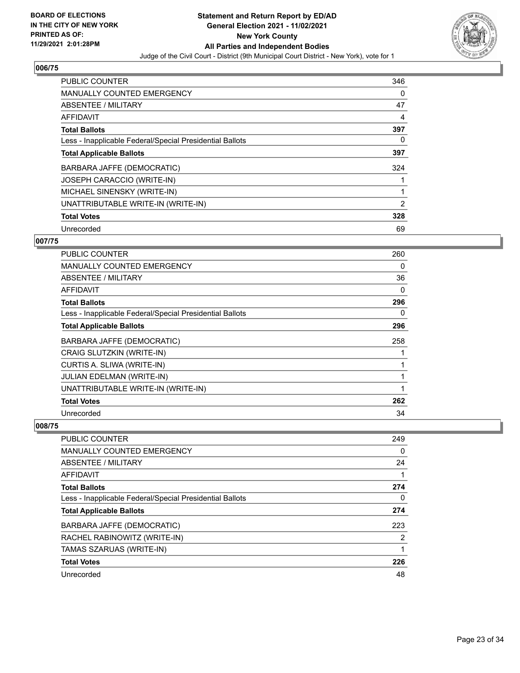

| PUBLIC COUNTER                                           | 346            |
|----------------------------------------------------------|----------------|
| <b>MANUALLY COUNTED EMERGENCY</b>                        | 0              |
| ABSENTEE / MILITARY                                      | 47             |
| <b>AFFIDAVIT</b>                                         | 4              |
| <b>Total Ballots</b>                                     | 397            |
| Less - Inapplicable Federal/Special Presidential Ballots | 0              |
| <b>Total Applicable Ballots</b>                          | 397            |
| BARBARA JAFFE (DEMOCRATIC)                               | 324            |
| <b>JOSEPH CARACCIO (WRITE-IN)</b>                        |                |
| MICHAEL SINENSKY (WRITE-IN)                              |                |
| UNATTRIBUTABLE WRITE-IN (WRITE-IN)                       | $\overline{2}$ |
| <b>Total Votes</b>                                       | 328            |
| Unrecorded                                               | 69             |

#### **007/75**

| <b>PUBLIC COUNTER</b>                                    | 260      |
|----------------------------------------------------------|----------|
| MANUALLY COUNTED EMERGENCY                               | 0        |
| ABSENTEE / MILITARY                                      | 36       |
| <b>AFFIDAVIT</b>                                         | $\Omega$ |
| <b>Total Ballots</b>                                     | 296      |
| Less - Inapplicable Federal/Special Presidential Ballots | 0        |
| <b>Total Applicable Ballots</b>                          | 296      |
| BARBARA JAFFE (DEMOCRATIC)                               | 258      |
| <b>CRAIG SLUTZKIN (WRITE-IN)</b>                         |          |
| CURTIS A. SLIWA (WRITE-IN)                               |          |
| <b>JULIAN EDELMAN (WRITE-IN)</b>                         |          |
| UNATTRIBUTABLE WRITE-IN (WRITE-IN)                       | 1        |
| <b>Total Votes</b>                                       | 262      |
| Unrecorded                                               | 34       |

| PUBLIC COUNTER                                           | 249 |
|----------------------------------------------------------|-----|
| <b>MANUALLY COUNTED EMERGENCY</b>                        | 0   |
| ABSENTEE / MILITARY                                      | 24  |
| AFFIDAVIT                                                |     |
| <b>Total Ballots</b>                                     | 274 |
| Less - Inapplicable Federal/Special Presidential Ballots | 0   |
| <b>Total Applicable Ballots</b>                          | 274 |
| BARBARA JAFFE (DEMOCRATIC)                               | 223 |
| RACHEL RABINOWITZ (WRITE-IN)                             | 2   |
| TAMAS SZARUAS (WRITE-IN)                                 |     |
| <b>Total Votes</b>                                       | 226 |
| Unrecorded                                               | 48  |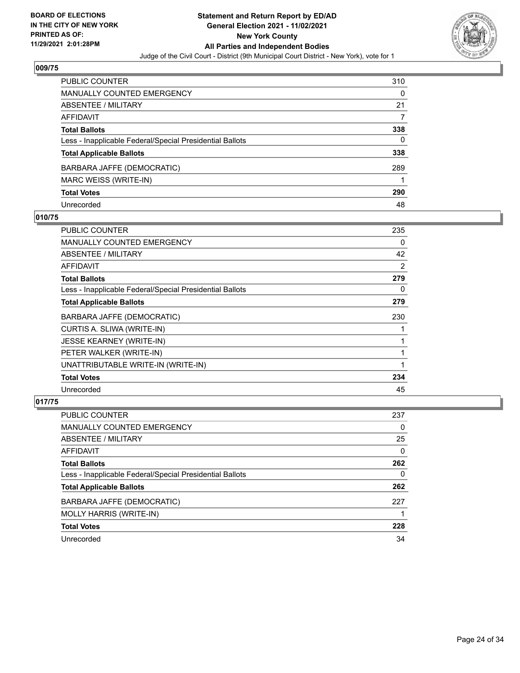

| PUBLIC COUNTER                                           | 310 |
|----------------------------------------------------------|-----|
| <b>MANUALLY COUNTED EMERGENCY</b>                        | 0   |
| <b>ABSENTEE / MILITARY</b>                               | 21  |
| <b>AFFIDAVIT</b>                                         |     |
| <b>Total Ballots</b>                                     | 338 |
| Less - Inapplicable Federal/Special Presidential Ballots | 0   |
| <b>Total Applicable Ballots</b>                          | 338 |
| BARBARA JAFFE (DEMOCRATIC)                               | 289 |
| MARC WEISS (WRITE-IN)                                    |     |
| <b>Total Votes</b>                                       | 290 |
| Unrecorded                                               | 48  |

#### **010/75**

| PUBLIC COUNTER                                           | 235 |
|----------------------------------------------------------|-----|
| <b>MANUALLY COUNTED EMERGENCY</b>                        | 0   |
| <b>ABSENTEE / MILITARY</b>                               | 42  |
| <b>AFFIDAVIT</b>                                         | 2   |
| <b>Total Ballots</b>                                     | 279 |
| Less - Inapplicable Federal/Special Presidential Ballots | 0   |
| <b>Total Applicable Ballots</b>                          | 279 |
| BARBARA JAFFE (DEMOCRATIC)                               | 230 |
| CURTIS A. SLIWA (WRITE-IN)                               |     |
| <b>JESSE KEARNEY (WRITE-IN)</b>                          |     |
| PETER WALKER (WRITE-IN)                                  |     |
| UNATTRIBUTABLE WRITE-IN (WRITE-IN)                       |     |
| <b>Total Votes</b>                                       | 234 |
| Unrecorded                                               | 45  |

| PUBLIC COUNTER                                           | 237      |
|----------------------------------------------------------|----------|
| <b>MANUALLY COUNTED EMERGENCY</b>                        | 0        |
| ABSENTEE / MILITARY                                      | 25       |
| AFFIDAVIT                                                | $\Omega$ |
| <b>Total Ballots</b>                                     | 262      |
| Less - Inapplicable Federal/Special Presidential Ballots | 0        |
| <b>Total Applicable Ballots</b>                          | 262      |
| BARBARA JAFFE (DEMOCRATIC)                               | 227      |
| MOLLY HARRIS (WRITE-IN)                                  |          |
| <b>Total Votes</b>                                       | 228      |
| Unrecorded                                               | 34       |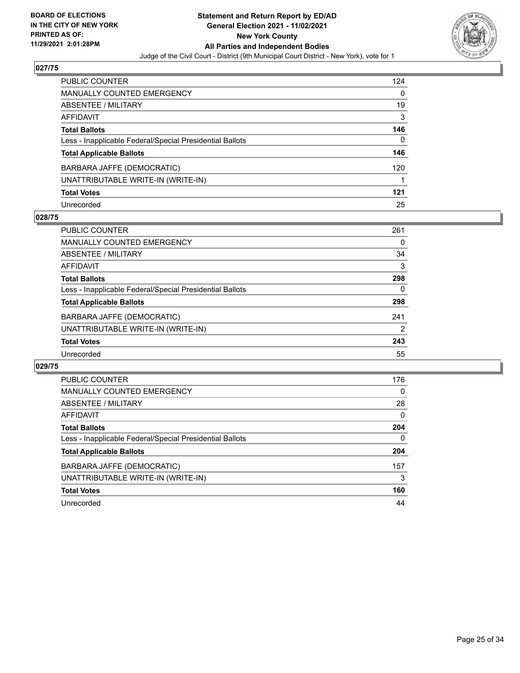

| <b>PUBLIC COUNTER</b>                                    | 124 |
|----------------------------------------------------------|-----|
| <b>MANUALLY COUNTED EMERGENCY</b>                        | 0   |
| ABSENTEE / MILITARY                                      | 19  |
| <b>AFFIDAVIT</b>                                         | 3   |
| <b>Total Ballots</b>                                     | 146 |
| Less - Inapplicable Federal/Special Presidential Ballots | 0   |
| <b>Total Applicable Ballots</b>                          | 146 |
| BARBARA JAFFE (DEMOCRATIC)                               | 120 |
| UNATTRIBUTABLE WRITE-IN (WRITE-IN)                       |     |
| <b>Total Votes</b>                                       | 121 |
| Unrecorded                                               | 25  |

#### **028/75**

| <b>PUBLIC COUNTER</b>                                    | 261 |
|----------------------------------------------------------|-----|
| MANUALLY COUNTED EMERGENCY                               | 0   |
| ABSENTEE / MILITARY                                      | 34  |
| AFFIDAVIT                                                | 3   |
| <b>Total Ballots</b>                                     | 298 |
| Less - Inapplicable Federal/Special Presidential Ballots | 0   |
| <b>Total Applicable Ballots</b>                          | 298 |
| BARBARA JAFFE (DEMOCRATIC)                               | 241 |
| UNATTRIBUTABLE WRITE-IN (WRITE-IN)                       | 2   |
| <b>Total Votes</b>                                       | 243 |
| Unrecorded                                               | 55  |

| <b>PUBLIC COUNTER</b>                                    | 176      |
|----------------------------------------------------------|----------|
| <b>MANUALLY COUNTED EMERGENCY</b>                        | $\Omega$ |
| ABSENTEE / MILITARY                                      | 28       |
| <b>AFFIDAVIT</b>                                         | $\Omega$ |
| <b>Total Ballots</b>                                     | 204      |
| Less - Inapplicable Federal/Special Presidential Ballots | $\Omega$ |
| <b>Total Applicable Ballots</b>                          | 204      |
| BARBARA JAFFE (DEMOCRATIC)                               | 157      |
| UNATTRIBUTABLE WRITE-IN (WRITE-IN)                       | 3        |
| <b>Total Votes</b>                                       | 160      |
| Unrecorded                                               | 44       |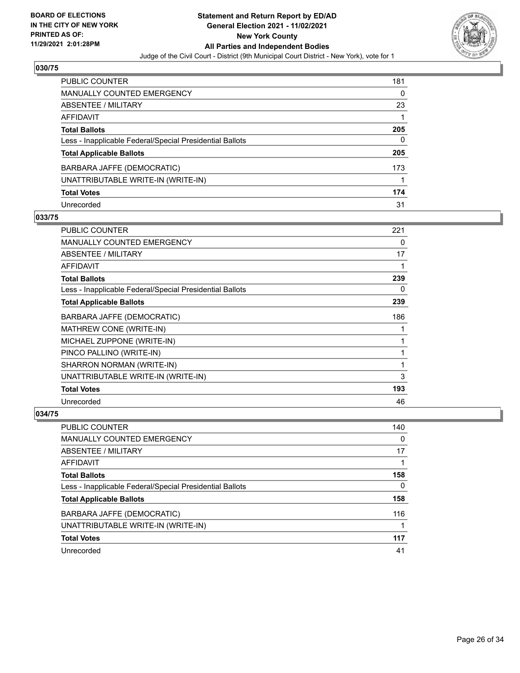

| PUBLIC COUNTER                                           | 181 |
|----------------------------------------------------------|-----|
| <b>MANUALLY COUNTED EMERGENCY</b>                        | 0   |
| <b>ABSENTEE / MILITARY</b>                               | 23  |
| <b>AFFIDAVIT</b>                                         |     |
| <b>Total Ballots</b>                                     | 205 |
| Less - Inapplicable Federal/Special Presidential Ballots | 0   |
| <b>Total Applicable Ballots</b>                          | 205 |
| BARBARA JAFFE (DEMOCRATIC)                               | 173 |
| UNATTRIBUTABLE WRITE-IN (WRITE-IN)                       |     |
| <b>Total Votes</b>                                       | 174 |
| Unrecorded                                               | 31  |

#### **033/75**

| <b>PUBLIC COUNTER</b>                                    | 221 |
|----------------------------------------------------------|-----|
| <b>MANUALLY COUNTED EMERGENCY</b>                        | 0   |
| ABSENTEE / MILITARY                                      | 17  |
| AFFIDAVIT                                                | 1   |
| <b>Total Ballots</b>                                     | 239 |
| Less - Inapplicable Federal/Special Presidential Ballots | 0   |
| <b>Total Applicable Ballots</b>                          | 239 |
| BARBARA JAFFE (DEMOCRATIC)                               | 186 |
| MATHREW CONE (WRITE-IN)                                  |     |
| MICHAEL ZUPPONE (WRITE-IN)                               | 1   |
| PINCO PALLINO (WRITE-IN)                                 | 1   |
| SHARRON NORMAN (WRITE-IN)                                | 1   |
| UNATTRIBUTABLE WRITE-IN (WRITE-IN)                       | 3   |
| <b>Total Votes</b>                                       | 193 |
| Unrecorded                                               | 46  |

| <b>PUBLIC COUNTER</b>                                    | 140 |
|----------------------------------------------------------|-----|
| <b>MANUALLY COUNTED EMERGENCY</b>                        | 0   |
| ABSENTEE / MILITARY                                      | 17  |
| AFFIDAVIT                                                |     |
| <b>Total Ballots</b>                                     | 158 |
| Less - Inapplicable Federal/Special Presidential Ballots | 0   |
| <b>Total Applicable Ballots</b>                          | 158 |
| BARBARA JAFFE (DEMOCRATIC)                               | 116 |
| UNATTRIBUTABLE WRITE-IN (WRITE-IN)                       |     |
| <b>Total Votes</b>                                       | 117 |
| Unrecorded                                               | 41  |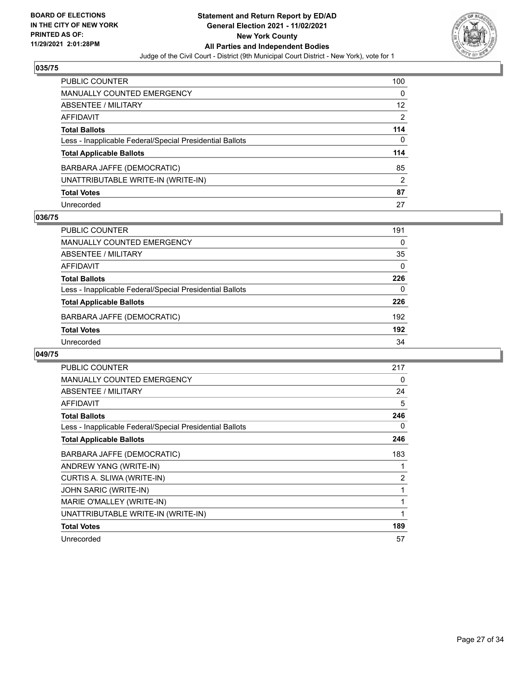

| PUBLIC COUNTER                                           | 100            |
|----------------------------------------------------------|----------------|
| <b>MANUALLY COUNTED EMERGENCY</b>                        | $\Omega$       |
| <b>ABSENTEE / MILITARY</b>                               | 12             |
| <b>AFFIDAVIT</b>                                         | $\overline{2}$ |
| <b>Total Ballots</b>                                     | 114            |
| Less - Inapplicable Federal/Special Presidential Ballots | 0              |
| <b>Total Applicable Ballots</b>                          | 114            |
| BARBARA JAFFE (DEMOCRATIC)                               | 85             |
| UNATTRIBUTABLE WRITE-IN (WRITE-IN)                       | $\overline{2}$ |
| <b>Total Votes</b>                                       | 87             |
| Unrecorded                                               | 27             |

#### **036/75**

| <b>PUBLIC COUNTER</b>                                    | 191      |
|----------------------------------------------------------|----------|
| <b>MANUALLY COUNTED EMERGENCY</b>                        | 0        |
| ABSENTEE / MILITARY                                      | 35       |
| AFFIDAVIT                                                | $\Omega$ |
| <b>Total Ballots</b>                                     | 226      |
| Less - Inapplicable Federal/Special Presidential Ballots | $\Omega$ |
| <b>Total Applicable Ballots</b>                          | 226      |
| BARBARA JAFFE (DEMOCRATIC)                               | 192      |
| <b>Total Votes</b>                                       | 192      |
| Unrecorded                                               | 34       |
|                                                          |          |

| PUBLIC COUNTER                                           | 217            |
|----------------------------------------------------------|----------------|
| <b>MANUALLY COUNTED EMERGENCY</b>                        | 0              |
| ABSENTEE / MILITARY                                      | 24             |
| <b>AFFIDAVIT</b>                                         | 5              |
| <b>Total Ballots</b>                                     | 246            |
| Less - Inapplicable Federal/Special Presidential Ballots | 0              |
| <b>Total Applicable Ballots</b>                          | 246            |
| BARBARA JAFFE (DEMOCRATIC)                               | 183            |
| ANDREW YANG (WRITE-IN)                                   |                |
| CURTIS A. SLIWA (WRITE-IN)                               | $\overline{2}$ |
| JOHN SARIC (WRITE-IN)                                    |                |
| MARIE O'MALLEY (WRITE-IN)                                |                |
| UNATTRIBUTABLE WRITE-IN (WRITE-IN)                       | 1              |
| <b>Total Votes</b>                                       | 189            |
| Unrecorded                                               | 57             |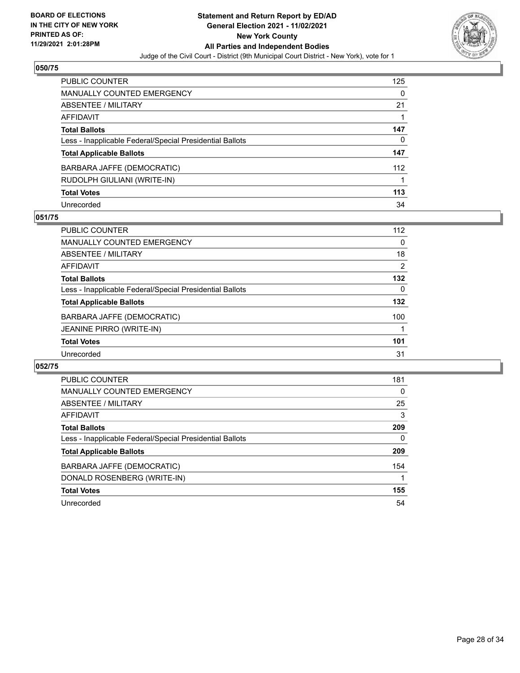

| <b>PUBLIC COUNTER</b>                                    | 125 |
|----------------------------------------------------------|-----|
| <b>MANUALLY COUNTED EMERGENCY</b>                        | 0   |
| ABSENTEE / MILITARY                                      | 21  |
| AFFIDAVIT                                                |     |
| <b>Total Ballots</b>                                     | 147 |
| Less - Inapplicable Federal/Special Presidential Ballots | 0   |
| <b>Total Applicable Ballots</b>                          | 147 |
| BARBARA JAFFE (DEMOCRATIC)                               | 112 |
| RUDOLPH GIULIANI (WRITE-IN)                              |     |
| <b>Total Votes</b>                                       | 113 |
| Unrecorded                                               | 34  |

#### **051/75**

| PUBLIC COUNTER                                           | 112      |
|----------------------------------------------------------|----------|
| <b>MANUALLY COUNTED EMERGENCY</b>                        | $\Omega$ |
| ABSENTEE / MILITARY                                      | 18       |
| AFFIDAVIT                                                | 2        |
| <b>Total Ballots</b>                                     | 132      |
| Less - Inapplicable Federal/Special Presidential Ballots | $\Omega$ |
| <b>Total Applicable Ballots</b>                          | 132      |
| BARBARA JAFFE (DEMOCRATIC)                               | 100      |
| <b>JEANINE PIRRO (WRITE-IN)</b>                          |          |
| <b>Total Votes</b>                                       | 101      |
| Unrecorded                                               | 31       |

| PUBLIC COUNTER                                           | 181 |
|----------------------------------------------------------|-----|
| <b>MANUALLY COUNTED EMERGENCY</b>                        | 0   |
| ABSENTEE / MILITARY                                      | 25  |
| AFFIDAVIT                                                | 3   |
| <b>Total Ballots</b>                                     | 209 |
| Less - Inapplicable Federal/Special Presidential Ballots | 0   |
| <b>Total Applicable Ballots</b>                          | 209 |
| BARBARA JAFFE (DEMOCRATIC)                               | 154 |
| DONALD ROSENBERG (WRITE-IN)                              |     |
| <b>Total Votes</b>                                       | 155 |
| Unrecorded                                               | 54  |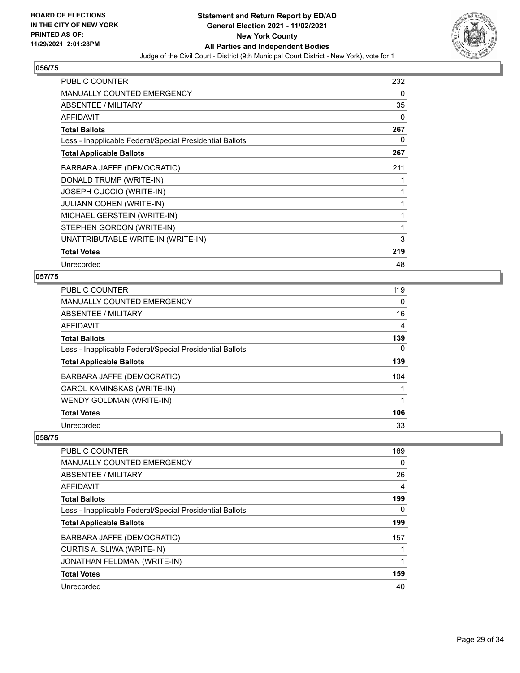

| <b>PUBLIC COUNTER</b>                                    | 232 |
|----------------------------------------------------------|-----|
| <b>MANUALLY COUNTED EMERGENCY</b>                        | 0   |
| ABSENTEE / MILITARY                                      | 35  |
| <b>AFFIDAVIT</b>                                         | 0   |
| <b>Total Ballots</b>                                     | 267 |
| Less - Inapplicable Federal/Special Presidential Ballots | 0   |
| <b>Total Applicable Ballots</b>                          | 267 |
| BARBARA JAFFE (DEMOCRATIC)                               | 211 |
| DONALD TRUMP (WRITE-IN)                                  | 1   |
| JOSEPH CUCCIO (WRITE-IN)                                 | 1   |
| <b>JULIANN COHEN (WRITE-IN)</b>                          | 1   |
| MICHAEL GERSTEIN (WRITE-IN)                              | 1   |
| STEPHEN GORDON (WRITE-IN)                                | 1   |
| UNATTRIBUTABLE WRITE-IN (WRITE-IN)                       | 3   |
| <b>Total Votes</b>                                       | 219 |
| Unrecorded                                               | 48  |

# **057/75**

| <b>PUBLIC COUNTER</b>                                    | 119 |
|----------------------------------------------------------|-----|
| MANUALLY COUNTED EMERGENCY                               | 0   |
| ABSENTEE / MILITARY                                      | 16  |
| AFFIDAVIT                                                | 4   |
| <b>Total Ballots</b>                                     | 139 |
| Less - Inapplicable Federal/Special Presidential Ballots | 0   |
| <b>Total Applicable Ballots</b>                          | 139 |
| BARBARA JAFFE (DEMOCRATIC)                               | 104 |
| CAROL KAMINSKAS (WRITE-IN)                               |     |
| WENDY GOLDMAN (WRITE-IN)                                 |     |
| <b>Total Votes</b>                                       | 106 |
| Unrecorded                                               | 33  |

| PUBLIC COUNTER                                           | 169 |
|----------------------------------------------------------|-----|
| <b>MANUALLY COUNTED EMERGENCY</b>                        | 0   |
| ABSENTEE / MILITARY                                      | 26  |
| AFFIDAVIT                                                | 4   |
| <b>Total Ballots</b>                                     | 199 |
| Less - Inapplicable Federal/Special Presidential Ballots | 0   |
| <b>Total Applicable Ballots</b>                          | 199 |
| BARBARA JAFFE (DEMOCRATIC)                               | 157 |
| CURTIS A. SLIWA (WRITE-IN)                               |     |
| JONATHAN FELDMAN (WRITE-IN)                              |     |
| <b>Total Votes</b>                                       | 159 |
| Unrecorded                                               | 40  |
|                                                          |     |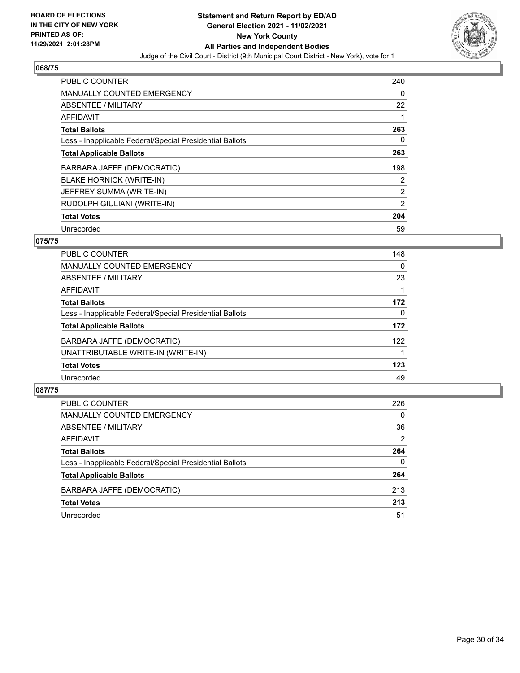

| PUBLIC COUNTER                                           | 240            |
|----------------------------------------------------------|----------------|
| <b>MANUALLY COUNTED EMERGENCY</b>                        | 0              |
| ABSENTEE / MILITARY                                      | 22             |
| <b>AFFIDAVIT</b>                                         |                |
| <b>Total Ballots</b>                                     | 263            |
| Less - Inapplicable Federal/Special Presidential Ballots | 0              |
| <b>Total Applicable Ballots</b>                          | 263            |
| BARBARA JAFFE (DEMOCRATIC)                               | 198            |
| <b>BLAKE HORNICK (WRITE-IN)</b>                          | $\overline{2}$ |
| JEFFREY SUMMA (WRITE-IN)                                 | $\overline{2}$ |
| RUDOLPH GIULIANI (WRITE-IN)                              | 2              |
| <b>Total Votes</b>                                       | 204            |
| Unrecorded                                               | 59             |

# **075/75**

| <b>PUBLIC COUNTER</b>                                    | 148 |
|----------------------------------------------------------|-----|
| MANUALLY COUNTED EMERGENCY                               | 0   |
| ABSENTEE / MILITARY                                      | 23  |
| AFFIDAVIT                                                |     |
| <b>Total Ballots</b>                                     | 172 |
| Less - Inapplicable Federal/Special Presidential Ballots | 0   |
| <b>Total Applicable Ballots</b>                          | 172 |
| BARBARA JAFFE (DEMOCRATIC)                               | 122 |
| UNATTRIBUTABLE WRITE-IN (WRITE-IN)                       |     |
| <b>Total Votes</b>                                       | 123 |
| Unrecorded                                               | 49  |

| <b>PUBLIC COUNTER</b>                                    | 226      |
|----------------------------------------------------------|----------|
| MANUALLY COUNTED EMERGENCY                               | $\Omega$ |
| ABSENTEE / MILITARY                                      | 36       |
| AFFIDAVIT                                                | 2        |
| <b>Total Ballots</b>                                     | 264      |
| Less - Inapplicable Federal/Special Presidential Ballots | 0        |
| <b>Total Applicable Ballots</b>                          | 264      |
| BARBARA JAFFE (DEMOCRATIC)                               | 213      |
| <b>Total Votes</b>                                       | 213      |
| Unrecorded                                               | 51       |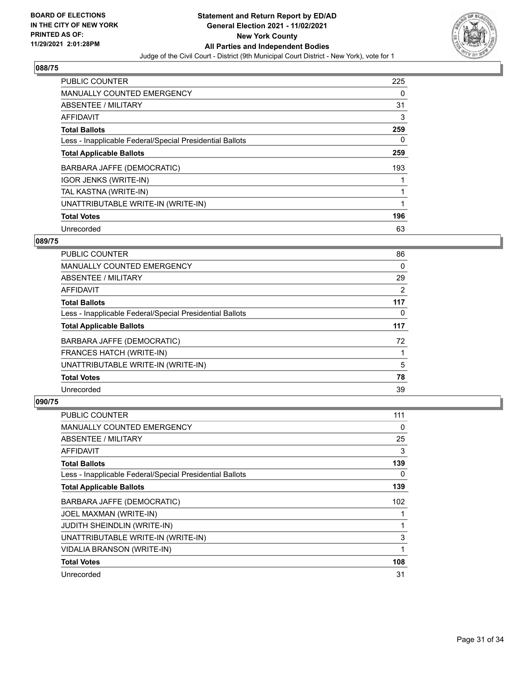

| PUBLIC COUNTER                                           | 225      |
|----------------------------------------------------------|----------|
| <b>MANUALLY COUNTED EMERGENCY</b>                        | 0        |
| ABSENTEE / MILITARY                                      | 31       |
| <b>AFFIDAVIT</b>                                         | 3        |
| <b>Total Ballots</b>                                     | 259      |
| Less - Inapplicable Federal/Special Presidential Ballots | $\Omega$ |
| <b>Total Applicable Ballots</b>                          | 259      |
| BARBARA JAFFE (DEMOCRATIC)                               | 193      |
| <b>IGOR JENKS (WRITE-IN)</b>                             |          |
| TAL KASTNA (WRITE-IN)                                    |          |
| UNATTRIBUTABLE WRITE-IN (WRITE-IN)                       | 1        |
| <b>Total Votes</b>                                       | 196      |
| Unrecorded                                               | 63       |

### **089/75**

| <b>PUBLIC COUNTER</b>                                    | 86  |
|----------------------------------------------------------|-----|
| MANUALLY COUNTED EMERGENCY                               | 0   |
| ABSENTEE / MILITARY                                      | 29  |
| <b>AFFIDAVIT</b>                                         | 2   |
| <b>Total Ballots</b>                                     | 117 |
| Less - Inapplicable Federal/Special Presidential Ballots | 0   |
| <b>Total Applicable Ballots</b>                          | 117 |
| BARBARA JAFFE (DEMOCRATIC)                               | 72  |
| FRANCES HATCH (WRITE-IN)                                 |     |
| UNATTRIBUTABLE WRITE-IN (WRITE-IN)                       | 5   |
| <b>Total Votes</b>                                       | 78  |
| Unrecorded                                               | 39  |

| PUBLIC COUNTER                                           | 111 |
|----------------------------------------------------------|-----|
| MANUALLY COUNTED EMERGENCY                               | 0   |
| ABSENTEE / MILITARY                                      | 25  |
| AFFIDAVIT                                                | 3   |
| <b>Total Ballots</b>                                     | 139 |
| Less - Inapplicable Federal/Special Presidential Ballots | 0   |
| <b>Total Applicable Ballots</b>                          | 139 |
| BARBARA JAFFE (DEMOCRATIC)                               | 102 |
| JOEL MAXMAN (WRITE-IN)                                   |     |
| <b>JUDITH SHEINDLIN (WRITE-IN)</b>                       | 1   |
| UNATTRIBUTABLE WRITE-IN (WRITE-IN)                       | 3   |
| VIDALIA BRANSON (WRITE-IN)                               | 1   |
| <b>Total Votes</b>                                       | 108 |
| Unrecorded                                               | 31  |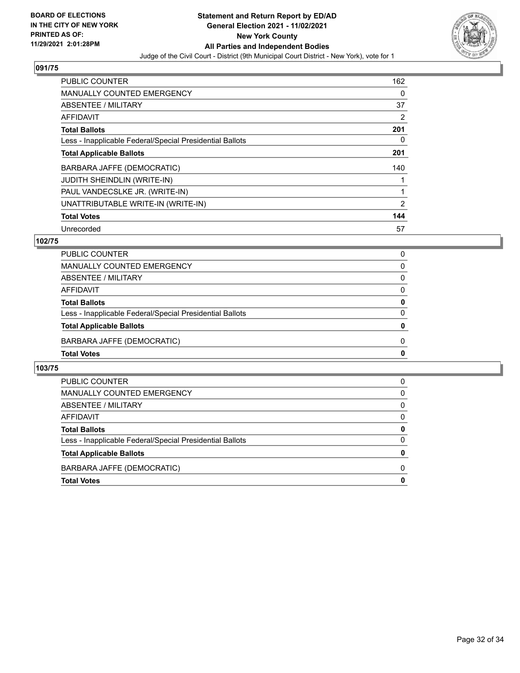

| <b>PUBLIC COUNTER</b>                                    | 162 |
|----------------------------------------------------------|-----|
| <b>MANUALLY COUNTED EMERGENCY</b>                        | 0   |
| ABSENTEE / MILITARY                                      | 37  |
| <b>AFFIDAVIT</b>                                         | 2   |
| <b>Total Ballots</b>                                     | 201 |
| Less - Inapplicable Federal/Special Presidential Ballots | 0   |
| <b>Total Applicable Ballots</b>                          | 201 |
| BARBARA JAFFE (DEMOCRATIC)                               | 140 |
| <b>JUDITH SHEINDLIN (WRITE-IN)</b>                       |     |
| PAUL VANDECSLKE JR. (WRITE-IN)                           |     |
| UNATTRIBUTABLE WRITE-IN (WRITE-IN)                       | 2   |
| <b>Total Votes</b>                                       | 144 |
| Unrecorded                                               | 57  |

### **102/75**

| PUBLIC COUNTER                                           | 0        |
|----------------------------------------------------------|----------|
| MANUALLY COUNTED EMERGENCY                               | $\Omega$ |
| ABSENTEE / MILITARY                                      | $\Omega$ |
| <b>AFFIDAVIT</b>                                         | $\Omega$ |
| <b>Total Ballots</b>                                     | 0        |
| Less - Inapplicable Federal/Special Presidential Ballots | $\Omega$ |
| <b>Total Applicable Ballots</b>                          | 0        |
| BARBARA JAFFE (DEMOCRATIC)                               | 0        |
| <b>Total Votes</b>                                       | 0        |

| PUBLIC COUNTER                                           | 0 |
|----------------------------------------------------------|---|
| <b>MANUALLY COUNTED EMERGENCY</b>                        | 0 |
| ABSENTEE / MILITARY                                      | 0 |
| AFFIDAVIT                                                | 0 |
| <b>Total Ballots</b>                                     | 0 |
| Less - Inapplicable Federal/Special Presidential Ballots | 0 |
| <b>Total Applicable Ballots</b>                          | 0 |
| BARBARA JAFFE (DEMOCRATIC)                               | n |
| <b>Total Votes</b>                                       |   |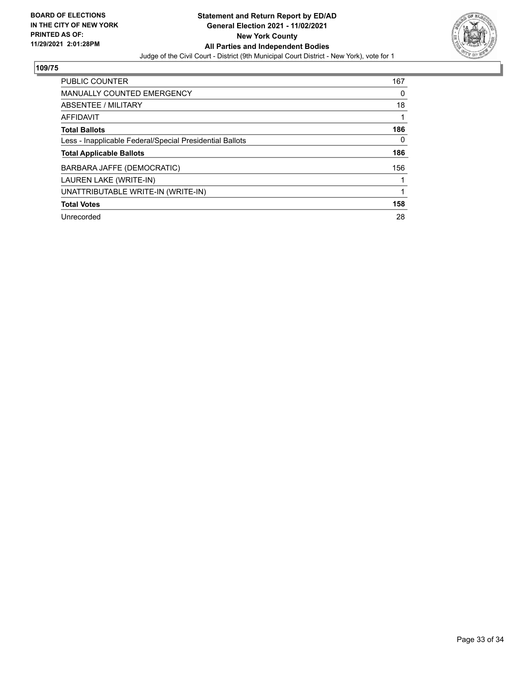

| <b>PUBLIC COUNTER</b>                                    | 167 |
|----------------------------------------------------------|-----|
| <b>MANUALLY COUNTED EMERGENCY</b>                        | 0   |
| ABSENTEE / MILITARY                                      | 18  |
| AFFIDAVIT                                                |     |
| <b>Total Ballots</b>                                     | 186 |
| Less - Inapplicable Federal/Special Presidential Ballots | 0   |
| <b>Total Applicable Ballots</b>                          | 186 |
| BARBARA JAFFE (DEMOCRATIC)                               | 156 |
| LAUREN LAKE (WRITE-IN)                                   |     |
| UNATTRIBUTABLE WRITE-IN (WRITE-IN)                       |     |
| <b>Total Votes</b>                                       | 158 |
| Unrecorded                                               | 28  |